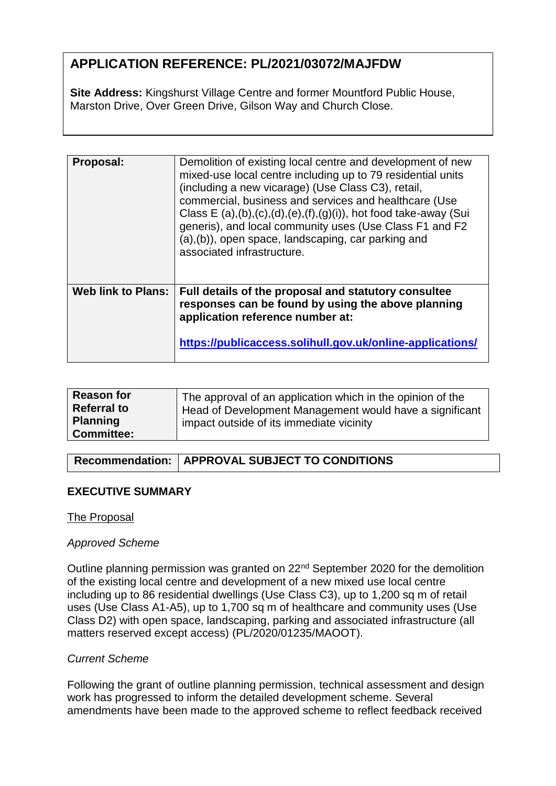# **APPLICATION REFERENCE: PL/2021/03072/MAJFDW**

**Site Address:** Kingshurst Village Centre and former Mountford Public House, Marston Drive, Over Green Drive, Gilson Way and Church Close.

| Proposal:          | Demolition of existing local centre and development of new<br>mixed-use local centre including up to 79 residential units<br>(including a new vicarage) (Use Class C3), retail,<br>commercial, business and services and healthcare (Use<br>Class E $(a), (b), (c), (d), (e), (f), (g), (i)$ , hot food take-away (Sui<br>generis), and local community uses (Use Class F1 and F2<br>(a), (b)), open space, landscaping, car parking and<br>associated infrastructure. |
|--------------------|------------------------------------------------------------------------------------------------------------------------------------------------------------------------------------------------------------------------------------------------------------------------------------------------------------------------------------------------------------------------------------------------------------------------------------------------------------------------|
| Web link to Plans: | Full details of the proposal and statutory consultee<br>responses can be found by using the above planning<br>application reference number at:<br>https://publicaccess.solihull.gov.uk/online-applications/                                                                                                                                                                                                                                                            |

| <b>Referral to</b><br>Head of Development Management would have a significant<br><b>Planning</b><br>impact outside of its immediate vicinity<br><b>Committee:</b> |
|-------------------------------------------------------------------------------------------------------------------------------------------------------------------|
|-------------------------------------------------------------------------------------------------------------------------------------------------------------------|

# **Recommendation: APPROVAL SUBJECT TO CONDITIONS**

# **EXECUTIVE SUMMARY**

#### The Proposal

#### *Approved Scheme*

Outline planning permission was granted on 22nd September 2020 for the demolition of the existing local centre and development of a new mixed use local centre including up to 86 residential dwellings (Use Class C3), up to 1,200 sq m of retail uses (Use Class A1-A5), up to 1,700 sq m of healthcare and community uses (Use Class D2) with open space, landscaping, parking and associated infrastructure (all matters reserved except access) (PL/2020/01235/MAOOT).

#### *Current Scheme*

Following the grant of outline planning permission, technical assessment and design work has progressed to inform the detailed development scheme. Several amendments have been made to the approved scheme to reflect feedback received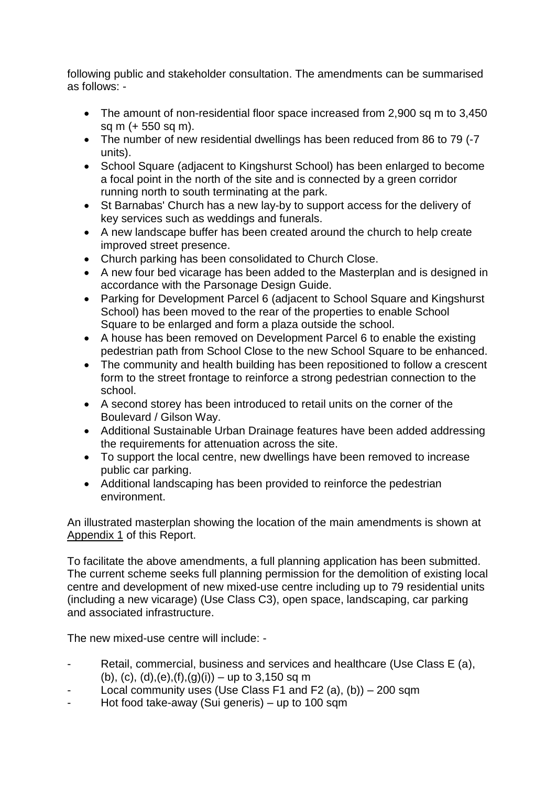following public and stakeholder consultation. The amendments can be summarised as follows: -

- The amount of non-residential floor space increased from 2,900 sq m to 3,450 sq m (+ 550 sq m).
- The number of new residential dwellings has been reduced from 86 to 79 (-7) units).
- School Square (adjacent to Kingshurst School) has been enlarged to become a focal point in the north of the site and is connected by a green corridor running north to south terminating at the park.
- St Barnabas' Church has a new lay-by to support access for the delivery of key services such as weddings and funerals.
- A new landscape buffer has been created around the church to help create improved street presence.
- Church parking has been consolidated to Church Close.
- A new four bed vicarage has been added to the Masterplan and is designed in accordance with the Parsonage Design Guide.
- Parking for Development Parcel 6 (adjacent to School Square and Kingshurst School) has been moved to the rear of the properties to enable School Square to be enlarged and form a plaza outside the school.
- A house has been removed on Development Parcel 6 to enable the existing pedestrian path from School Close to the new School Square to be enhanced.
- The community and health building has been repositioned to follow a crescent form to the street frontage to reinforce a strong pedestrian connection to the school.
- A second storey has been introduced to retail units on the corner of the Boulevard / Gilson Way.
- Additional Sustainable Urban Drainage features have been added addressing the requirements for attenuation across the site.
- To support the local centre, new dwellings have been removed to increase public car parking.
- Additional landscaping has been provided to reinforce the pedestrian environment.

An illustrated masterplan showing the location of the main amendments is shown at Appendix 1 of this Report.

To facilitate the above amendments, a full planning application has been submitted. The current scheme seeks full planning permission for the demolition of existing local centre and development of new mixed-use centre including up to 79 residential units (including a new vicarage) (Use Class C3), open space, landscaping, car parking and associated infrastructure.

The new mixed-use centre will include: -

- Retail, commercial, business and services and healthcare (Use Class E (a), (b), (c), (d),(e),(f),(g)(i)) – up to 3,150 sq m
- Local community uses (Use Class F1 and F2 (a), (b))  $-200$  sqm
- Hot food take-away (Sui generis) up to 100 sqm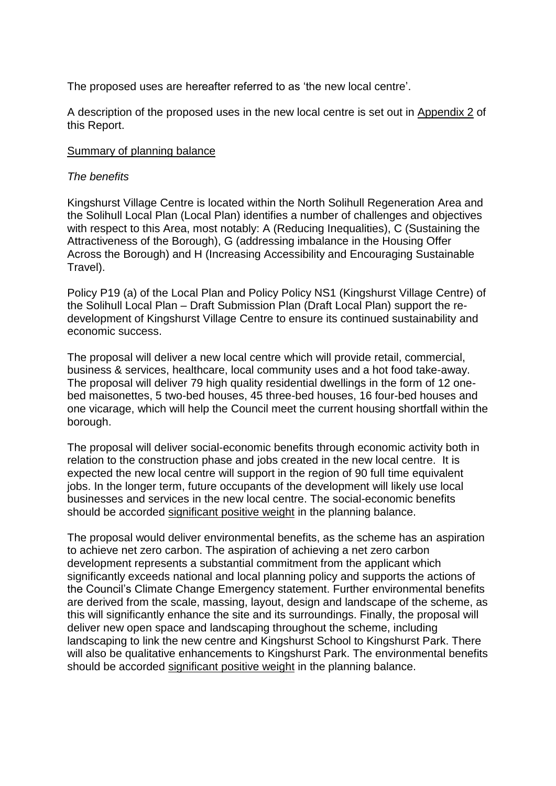The proposed uses are hereafter referred to as 'the new local centre'.

A description of the proposed uses in the new local centre is set out in Appendix 2 of this Report.

#### Summary of planning balance

#### *The benefits*

Kingshurst Village Centre is located within the North Solihull Regeneration Area and the Solihull Local Plan (Local Plan) identifies a number of challenges and objectives with respect to this Area, most notably: A (Reducing Inequalities), C (Sustaining the Attractiveness of the Borough), G (addressing imbalance in the Housing Offer Across the Borough) and H (Increasing Accessibility and Encouraging Sustainable Travel).

Policy P19 (a) of the Local Plan and Policy Policy NS1 (Kingshurst Village Centre) of the Solihull Local Plan – Draft Submission Plan (Draft Local Plan) support the redevelopment of Kingshurst Village Centre to ensure its continued sustainability and economic success.

The proposal will deliver a new local centre which will provide retail, commercial, business & services, healthcare, local community uses and a hot food take-away. The proposal will deliver 79 high quality residential dwellings in the form of 12 onebed maisonettes, 5 two-bed houses, 45 three-bed houses, 16 four-bed houses and one vicarage, which will help the Council meet the current housing shortfall within the borough.

The proposal will deliver social-economic benefits through economic activity both in relation to the construction phase and jobs created in the new local centre. It is expected the new local centre will support in the region of 90 full time equivalent jobs. In the longer term, future occupants of the development will likely use local businesses and services in the new local centre. The social-economic benefits should be accorded significant positive weight in the planning balance.

The proposal would deliver environmental benefits, as the scheme has an aspiration to achieve net zero carbon. The aspiration of achieving a net zero carbon development represents a substantial commitment from the applicant which significantly exceeds national and local planning policy and supports the actions of the Council's Climate Change Emergency statement. Further environmental benefits are derived from the scale, massing, layout, design and landscape of the scheme, as this will significantly enhance the site and its surroundings. Finally, the proposal will deliver new open space and landscaping throughout the scheme, including landscaping to link the new centre and Kingshurst School to Kingshurst Park. There will also be qualitative enhancements to Kingshurst Park. The environmental benefits should be accorded significant positive weight in the planning balance.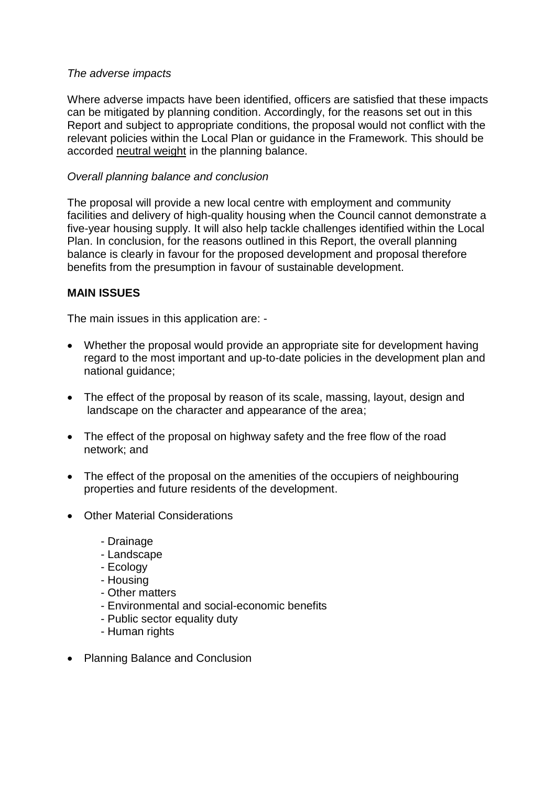#### *The adverse impacts*

Where adverse impacts have been identified, officers are satisfied that these impacts can be mitigated by planning condition. Accordingly, for the reasons set out in this Report and subject to appropriate conditions, the proposal would not conflict with the relevant policies within the Local Plan or guidance in the Framework. This should be accorded neutral weight in the planning balance.

### *Overall planning balance and conclusion*

The proposal will provide a new local centre with employment and community facilities and delivery of high-quality housing when the Council cannot demonstrate a five-year housing supply. It will also help tackle challenges identified within the Local Plan. In conclusion, for the reasons outlined in this Report, the overall planning balance is clearly in favour for the proposed development and proposal therefore benefits from the presumption in favour of sustainable development.

### **MAIN ISSUES**

The main issues in this application are: -

- Whether the proposal would provide an appropriate site for development having regard to the most important and up-to-date policies in the development plan and national guidance;
- The effect of the proposal by reason of its scale, massing, layout, design and landscape on the character and appearance of the area;
- The effect of the proposal on highway safety and the free flow of the road network; and
- The effect of the proposal on the amenities of the occupiers of neighbouring properties and future residents of the development.
- Other Material Considerations
	- Drainage
	- Landscape
	- Ecology
	- Housing
	- Other matters
	- Environmental and social-economic benefits
	- Public sector equality duty
	- Human rights
- Planning Balance and Conclusion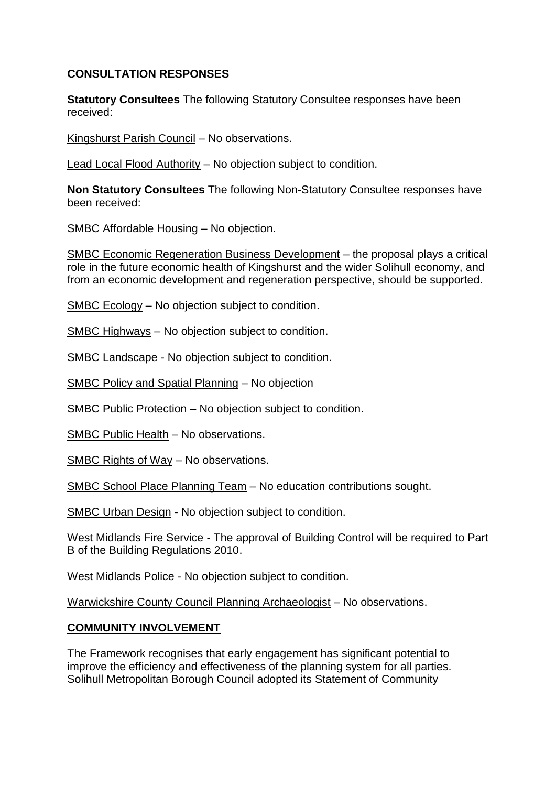### **CONSULTATION RESPONSES**

**Statutory Consultees** The following Statutory Consultee responses have been received:

Kingshurst Parish Council – No observations.

Lead Local Flood Authority – No objection subject to condition.

**Non Statutory Consultees** The following Non-Statutory Consultee responses have been received:

SMBC Affordable Housing – No objection.

SMBC Economic Regeneration Business Development – the proposal plays a critical role in the future economic health of Kingshurst and the wider Solihull economy, and from an economic development and regeneration perspective, should be supported.

SMBC Ecology – No objection subject to condition.

SMBC Highways – No objection subject to condition.

SMBC Landscape - No objection subject to condition.

SMBC Policy and Spatial Planning – No objection

SMBC Public Protection – No objection subject to condition.

SMBC Public Health – No observations.

SMBC Rights of Way – No observations.

SMBC School Place Planning Team – No education contributions sought.

SMBC Urban Design - No objection subject to condition.

West Midlands Fire Service - The approval of Building Control will be required to Part B of the Building Regulations 2010.

West Midlands Police - No objection subject to condition.

Warwickshire County Council Planning Archaeologist – No observations.

#### **COMMUNITY INVOLVEMENT**

The Framework recognises that early engagement has significant potential to improve the efficiency and effectiveness of the planning system for all parties. Solihull Metropolitan Borough Council adopted its Statement of Community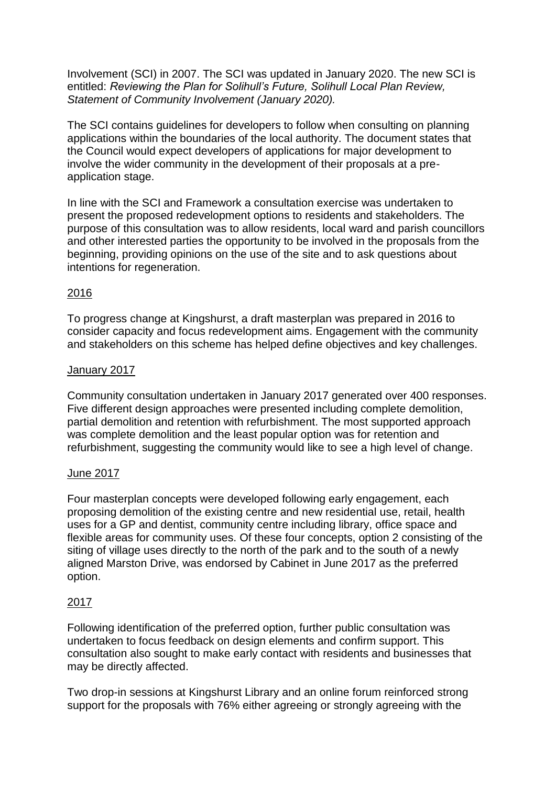Involvement (SCI) in 2007. The SCI was updated in January 2020. The new SCI is entitled: *Reviewing the Plan for Solihull's Future, Solihull Local Plan Review, Statement of Community Involvement (January 2020).*

The SCI contains guidelines for developers to follow when consulting on planning applications within the boundaries of the local authority. The document states that the Council would expect developers of applications for major development to involve the wider community in the development of their proposals at a preapplication stage.

In line with the SCI and Framework a consultation exercise was undertaken to present the proposed redevelopment options to residents and stakeholders. The purpose of this consultation was to allow residents, local ward and parish councillors and other interested parties the opportunity to be involved in the proposals from the beginning, providing opinions on the use of the site and to ask questions about intentions for regeneration.

### 2016

To progress change at Kingshurst, a draft masterplan was prepared in 2016 to consider capacity and focus redevelopment aims. Engagement with the community and stakeholders on this scheme has helped define objectives and key challenges.

#### January 2017

Community consultation undertaken in January 2017 generated over 400 responses. Five different design approaches were presented including complete demolition, partial demolition and retention with refurbishment. The most supported approach was complete demolition and the least popular option was for retention and refurbishment, suggesting the community would like to see a high level of change.

#### June 2017

Four masterplan concepts were developed following early engagement, each proposing demolition of the existing centre and new residential use, retail, health uses for a GP and dentist, community centre including library, office space and flexible areas for community uses. Of these four concepts, option 2 consisting of the siting of village uses directly to the north of the park and to the south of a newly aligned Marston Drive, was endorsed by Cabinet in June 2017 as the preferred option.

#### 2017

Following identification of the preferred option, further public consultation was undertaken to focus feedback on design elements and confirm support. This consultation also sought to make early contact with residents and businesses that may be directly affected.

Two drop-in sessions at Kingshurst Library and an online forum reinforced strong support for the proposals with 76% either agreeing or strongly agreeing with the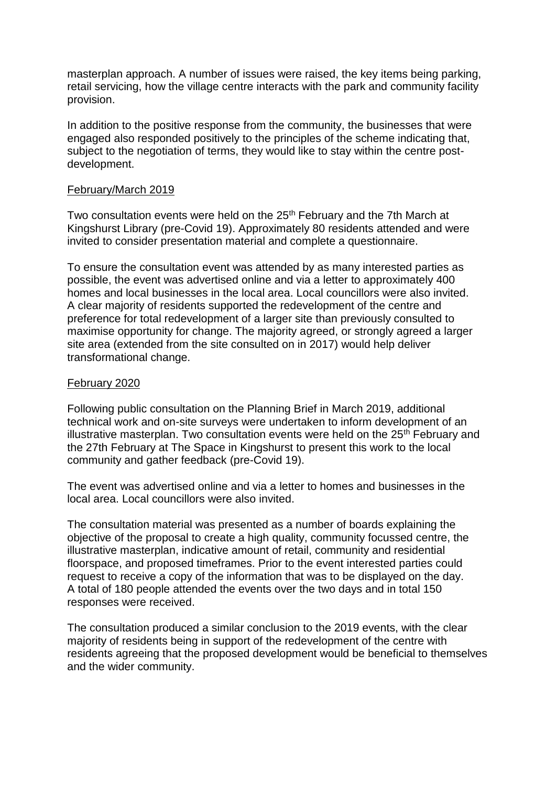masterplan approach. A number of issues were raised, the key items being parking, retail servicing, how the village centre interacts with the park and community facility provision.

In addition to the positive response from the community, the businesses that were engaged also responded positively to the principles of the scheme indicating that, subject to the negotiation of terms, they would like to stay within the centre postdevelopment.

#### February/March 2019

Two consultation events were held on the 25<sup>th</sup> February and the 7th March at Kingshurst Library (pre-Covid 19). Approximately 80 residents attended and were invited to consider presentation material and complete a questionnaire.

To ensure the consultation event was attended by as many interested parties as possible, the event was advertised online and via a letter to approximately 400 homes and local businesses in the local area. Local councillors were also invited. A clear majority of residents supported the redevelopment of the centre and preference for total redevelopment of a larger site than previously consulted to maximise opportunity for change. The majority agreed, or strongly agreed a larger site area (extended from the site consulted on in 2017) would help deliver transformational change.

#### February 2020

Following public consultation on the Planning Brief in March 2019, additional technical work and on-site surveys were undertaken to inform development of an illustrative masterplan. Two consultation events were held on the  $25<sup>th</sup>$  February and the 27th February at The Space in Kingshurst to present this work to the local community and gather feedback (pre-Covid 19).

The event was advertised online and via a letter to homes and businesses in the local area. Local councillors were also invited.

The consultation material was presented as a number of boards explaining the objective of the proposal to create a high quality, community focussed centre, the illustrative masterplan, indicative amount of retail, community and residential floorspace, and proposed timeframes. Prior to the event interested parties could request to receive a copy of the information that was to be displayed on the day. A total of 180 people attended the events over the two days and in total 150 responses were received.

The consultation produced a similar conclusion to the 2019 events, with the clear majority of residents being in support of the redevelopment of the centre with residents agreeing that the proposed development would be beneficial to themselves and the wider community.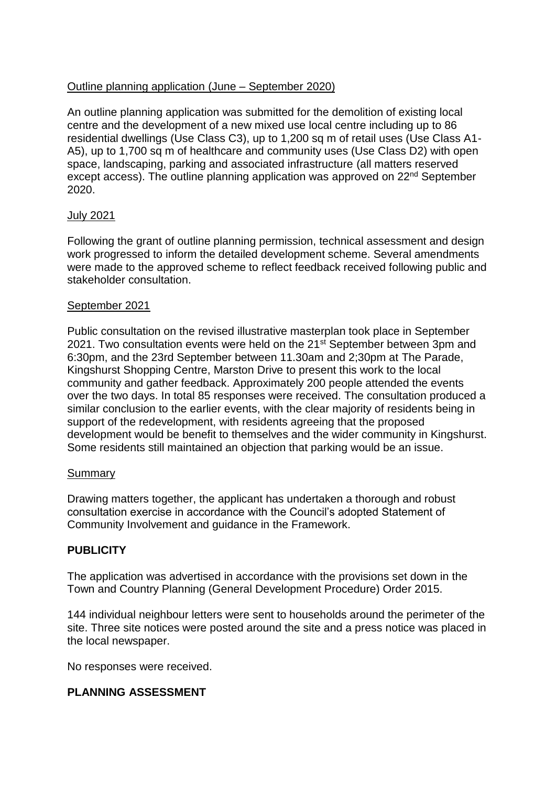### Outline planning application (June – September 2020)

An outline planning application was submitted for the demolition of existing local centre and the development of a new mixed use local centre including up to 86 residential dwellings (Use Class C3), up to 1,200 sq m of retail uses (Use Class A1- A5), up to 1,700 sq m of healthcare and community uses (Use Class D2) with open space, landscaping, parking and associated infrastructure (all matters reserved except access). The outline planning application was approved on 22<sup>nd</sup> September 2020.

#### July 2021

Following the grant of outline planning permission, technical assessment and design work progressed to inform the detailed development scheme. Several amendments were made to the approved scheme to reflect feedback received following public and stakeholder consultation.

#### September 2021

Public consultation on the revised illustrative masterplan took place in September 2021. Two consultation events were held on the 21<sup>st</sup> September between 3pm and 6:30pm, and the 23rd September between 11.30am and 2;30pm at The Parade, Kingshurst Shopping Centre, Marston Drive to present this work to the local community and gather feedback. Approximately 200 people attended the events over the two days. In total 85 responses were received. The consultation produced a similar conclusion to the earlier events, with the clear majority of residents being in support of the redevelopment, with residents agreeing that the proposed development would be benefit to themselves and the wider community in Kingshurst. Some residents still maintained an objection that parking would be an issue.

#### Summary

Drawing matters together, the applicant has undertaken a thorough and robust consultation exercise in accordance with the Council's adopted Statement of Community Involvement and guidance in the Framework.

# **PUBLICITY**

The application was advertised in accordance with the provisions set down in the Town and Country Planning (General Development Procedure) Order 2015.

144 individual neighbour letters were sent to households around the perimeter of the site. Three site notices were posted around the site and a press notice was placed in the local newspaper.

No responses were received.

#### **PLANNING ASSESSMENT**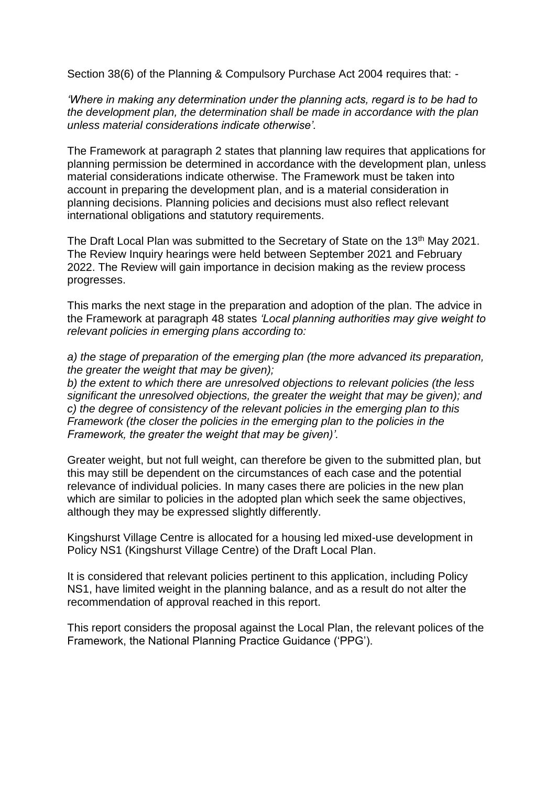Section 38(6) of the Planning & Compulsory Purchase Act 2004 requires that: -

*'Where in making any determination under the planning acts, regard is to be had to the development plan, the determination shall be made in accordance with the plan unless material considerations indicate otherwise'.*

The Framework at paragraph 2 states that planning law requires that applications for planning permission be determined in accordance with the development plan, unless material considerations indicate otherwise. The Framework must be taken into account in preparing the development plan, and is a material consideration in planning decisions. Planning policies and decisions must also reflect relevant international obligations and statutory requirements.

The Draft Local Plan was submitted to the Secretary of State on the 13<sup>th</sup> May 2021. The Review Inquiry hearings were held between September 2021 and February 2022. The Review will gain importance in decision making as the review process progresses.

This marks the next stage in the preparation and adoption of the plan. The advice in the Framework at paragraph 48 states *'Local planning authorities may give weight to relevant policies in emerging plans according to:*

*a) the stage of preparation of the emerging plan (the more advanced its preparation, the greater the weight that may be given);*

*b) the extent to which there are unresolved objections to relevant policies (the less significant the unresolved objections, the greater the weight that may be given); and c) the degree of consistency of the relevant policies in the emerging plan to this Framework (the closer the policies in the emerging plan to the policies in the Framework, the greater the weight that may be given)'.*

Greater weight, but not full weight, can therefore be given to the submitted plan, but this may still be dependent on the circumstances of each case and the potential relevance of individual policies. In many cases there are policies in the new plan which are similar to policies in the adopted plan which seek the same objectives, although they may be expressed slightly differently.

Kingshurst Village Centre is allocated for a housing led mixed-use development in Policy NS1 (Kingshurst Village Centre) of the Draft Local Plan.

It is considered that relevant policies pertinent to this application, including Policy NS1, have limited weight in the planning balance, and as a result do not alter the recommendation of approval reached in this report.

This report considers the proposal against the Local Plan, the relevant polices of the Framework, the National Planning Practice Guidance ('PPG').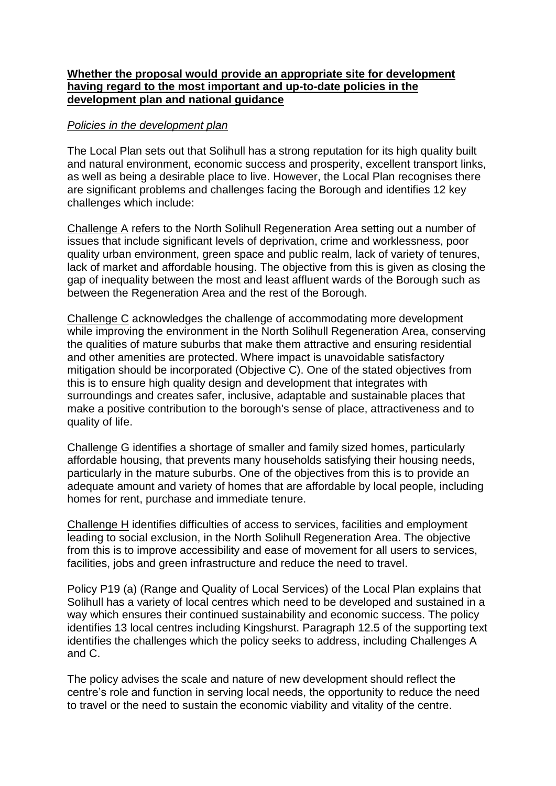#### **Whether the proposal would provide an appropriate site for development having regard to the most important and up-to-date policies in the development plan and national guidance**

### *Policies in the development plan*

The Local Plan sets out that Solihull has a strong reputation for its high quality built and natural environment, economic success and prosperity, excellent transport links, as well as being a desirable place to live. However, the Local Plan recognises there are significant problems and challenges facing the Borough and identifies 12 key challenges which include:

Challenge A refers to the North Solihull Regeneration Area setting out a number of issues that include significant levels of deprivation, crime and worklessness, poor quality urban environment, green space and public realm, lack of variety of tenures, lack of market and affordable housing. The objective from this is given as closing the gap of inequality between the most and least affluent wards of the Borough such as between the Regeneration Area and the rest of the Borough.

Challenge C acknowledges the challenge of accommodating more development while improving the environment in the North Solihull Regeneration Area, conserving the qualities of mature suburbs that make them attractive and ensuring residential and other amenities are protected. Where impact is unavoidable satisfactory mitigation should be incorporated (Objective C). One of the stated objectives from this is to ensure high quality design and development that integrates with surroundings and creates safer, inclusive, adaptable and sustainable places that make a positive contribution to the borough's sense of place, attractiveness and to quality of life.

Challenge G identifies a shortage of smaller and family sized homes, particularly affordable housing, that prevents many households satisfying their housing needs, particularly in the mature suburbs. One of the objectives from this is to provide an adequate amount and variety of homes that are affordable by local people, including homes for rent, purchase and immediate tenure.

Challenge H identifies difficulties of access to services, facilities and employment leading to social exclusion, in the North Solihull Regeneration Area. The objective from this is to improve accessibility and ease of movement for all users to services, facilities, jobs and green infrastructure and reduce the need to travel.

Policy P19 (a) (Range and Quality of Local Services) of the Local Plan explains that Solihull has a variety of local centres which need to be developed and sustained in a way which ensures their continued sustainability and economic success. The policy identifies 13 local centres including Kingshurst. Paragraph 12.5 of the supporting text identifies the challenges which the policy seeks to address, including Challenges A and C.

The policy advises the scale and nature of new development should reflect the centre's role and function in serving local needs, the opportunity to reduce the need to travel or the need to sustain the economic viability and vitality of the centre.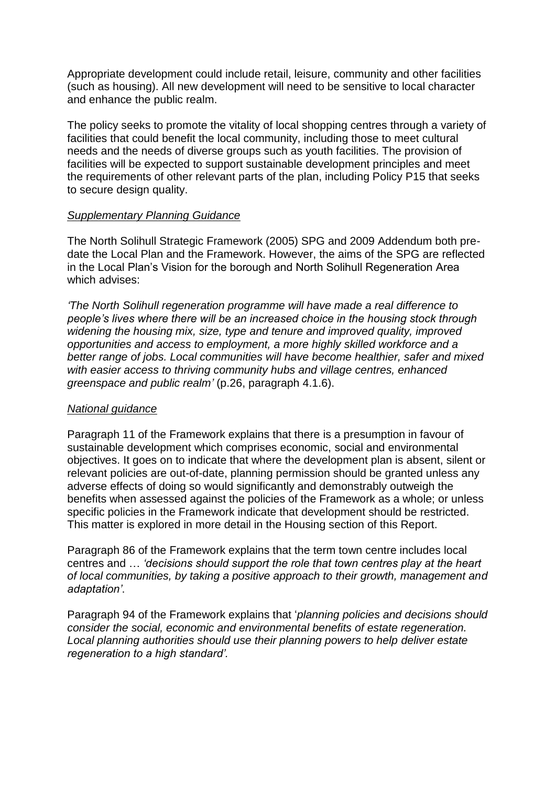Appropriate development could include retail, leisure, community and other facilities (such as housing). All new development will need to be sensitive to local character and enhance the public realm.

The policy seeks to promote the vitality of local shopping centres through a variety of facilities that could benefit the local community, including those to meet cultural needs and the needs of diverse groups such as youth facilities. The provision of facilities will be expected to support sustainable development principles and meet the requirements of other relevant parts of the plan, including Policy P15 that seeks to secure design quality.

#### *Supplementary Planning Guidance*

The North Solihull Strategic Framework (2005) SPG and 2009 Addendum both predate the Local Plan and the Framework. However, the aims of the SPG are reflected in the Local Plan's Vision for the borough and North Solihull Regeneration Area which advises:

*'The North Solihull regeneration programme will have made a real difference to people's lives where there will be an increased choice in the housing stock through widening the housing mix, size, type and tenure and improved quality, improved opportunities and access to employment, a more highly skilled workforce and a better range of jobs. Local communities will have become healthier, safer and mixed with easier access to thriving community hubs and village centres, enhanced greenspace and public realm'* (p.26, paragraph 4.1.6).

#### *National guidance*

Paragraph 11 of the Framework explains that there is a presumption in favour of sustainable development which comprises economic, social and environmental objectives. It goes on to indicate that where the development plan is absent, silent or relevant policies are out-of-date, planning permission should be granted unless any adverse effects of doing so would significantly and demonstrably outweigh the benefits when assessed against the policies of the Framework as a whole; or unless specific policies in the Framework indicate that development should be restricted. This matter is explored in more detail in the Housing section of this Report.

Paragraph 86 of the Framework explains that the term town centre includes local centres and … *'decisions should support the role that town centres play at the heart of local communities, by taking a positive approach to their growth, management and adaptation'*.

Paragraph 94 of the Framework explains that '*planning policies and decisions should consider the social, economic and environmental benefits of estate regeneration. Local planning authorities should use their planning powers to help deliver estate regeneration to a high standard'.*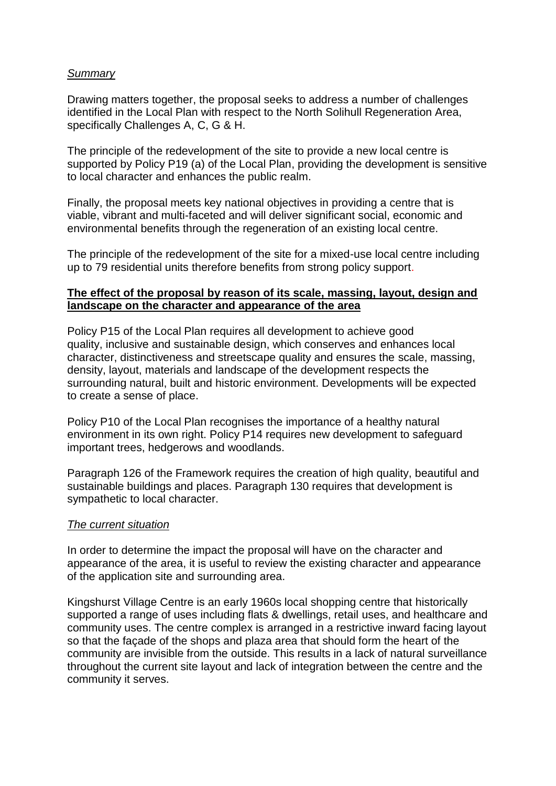### *Summary*

Drawing matters together, the proposal seeks to address a number of challenges identified in the Local Plan with respect to the North Solihull Regeneration Area, specifically Challenges A, C, G & H.

The principle of the redevelopment of the site to provide a new local centre is supported by Policy P19 (a) of the Local Plan, providing the development is sensitive to local character and enhances the public realm.

Finally, the proposal meets key national objectives in providing a centre that is viable, vibrant and multi-faceted and will deliver significant social, economic and environmental benefits through the regeneration of an existing local centre.

The principle of the redevelopment of the site for a mixed-use local centre including up to 79 residential units therefore benefits from strong policy support.

#### **The effect of the proposal by reason of its scale, massing, layout, design and landscape on the character and appearance of the area**

Policy P15 of the Local Plan requires all development to achieve good quality, inclusive and sustainable design, which conserves and enhances local character, distinctiveness and streetscape quality and ensures the scale, massing, density, layout, materials and landscape of the development respects the surrounding natural, built and historic environment. Developments will be expected to create a sense of place.

Policy P10 of the Local Plan recognises the importance of a healthy natural environment in its own right. Policy P14 requires new development to safeguard important trees, hedgerows and woodlands.

Paragraph 126 of the Framework requires the creation of high quality, beautiful and sustainable buildings and places. Paragraph 130 requires that development is sympathetic to local character.

#### *The current situation*

In order to determine the impact the proposal will have on the character and appearance of the area, it is useful to review the existing character and appearance of the application site and surrounding area.

Kingshurst Village Centre is an early 1960s local shopping centre that historically supported a range of uses including flats & dwellings, retail uses, and healthcare and community uses. The centre complex is arranged in a restrictive inward facing layout so that the façade of the shops and plaza area that should form the heart of the community are invisible from the outside. This results in a lack of natural surveillance throughout the current site layout and lack of integration between the centre and the community it serves.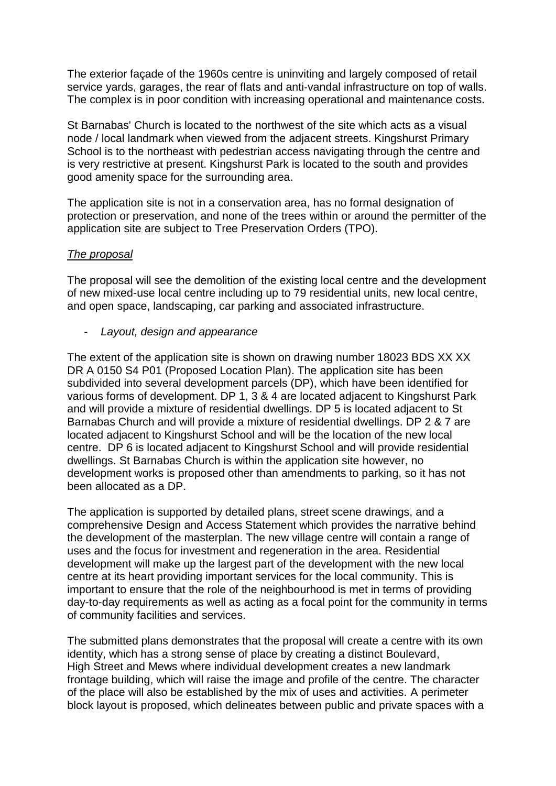The exterior façade of the 1960s centre is uninviting and largely composed of retail service yards, garages, the rear of flats and anti-vandal infrastructure on top of walls. The complex is in poor condition with increasing operational and maintenance costs.

St Barnabas' Church is located to the northwest of the site which acts as a visual node / local landmark when viewed from the adjacent streets. Kingshurst Primary School is to the northeast with pedestrian access navigating through the centre and is very restrictive at present. Kingshurst Park is located to the south and provides good amenity space for the surrounding area.

The application site is not in a conservation area, has no formal designation of protection or preservation, and none of the trees within or around the permitter of the application site are subject to Tree Preservation Orders (TPO).

#### *The proposal*

The proposal will see the demolition of the existing local centre and the development of new mixed-use local centre including up to 79 residential units, new local centre, and open space, landscaping, car parking and associated infrastructure.

- *Layout, design and appearance* 

The extent of the application site is shown on drawing number 18023 BDS XX XX DR A 0150 S4 P01 (Proposed Location Plan). The application site has been subdivided into several development parcels (DP), which have been identified for various forms of development. DP 1, 3 & 4 are located adjacent to Kingshurst Park and will provide a mixture of residential dwellings. DP 5 is located adjacent to St Barnabas Church and will provide a mixture of residential dwellings. DP 2 & 7 are located adjacent to Kingshurst School and will be the location of the new local centre. DP 6 is located adjacent to Kingshurst School and will provide residential dwellings. St Barnabas Church is within the application site however, no development works is proposed other than amendments to parking, so it has not been allocated as a DP.

The application is supported by detailed plans, street scene drawings, and a comprehensive Design and Access Statement which provides the narrative behind the development of the masterplan. The new village centre will contain a range of uses and the focus for investment and regeneration in the area. Residential development will make up the largest part of the development with the new local centre at its heart providing important services for the local community. This is important to ensure that the role of the neighbourhood is met in terms of providing day-to-day requirements as well as acting as a focal point for the community in terms of community facilities and services.

The submitted plans demonstrates that the proposal will create a centre with its own identity, which has a strong sense of place by creating a distinct Boulevard, High Street and Mews where individual development creates a new landmark frontage building, which will raise the image and profile of the centre. The character of the place will also be established by the mix of uses and activities. A perimeter block layout is proposed, which delineates between public and private spaces with a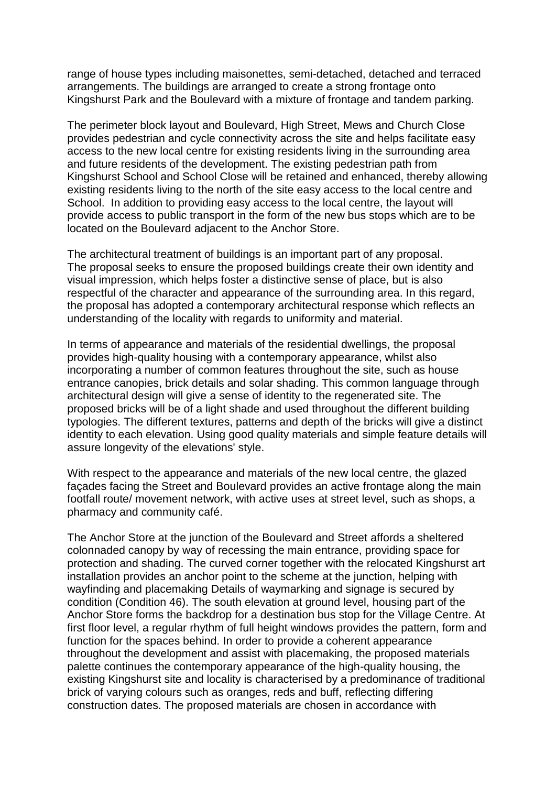range of house types including maisonettes, semi-detached, detached and terraced arrangements. The buildings are arranged to create a strong frontage onto Kingshurst Park and the Boulevard with a mixture of frontage and tandem parking.

The perimeter block layout and Boulevard, High Street, Mews and Church Close provides pedestrian and cycle connectivity across the site and helps facilitate easy access to the new local centre for existing residents living in the surrounding area and future residents of the development. The existing pedestrian path from Kingshurst School and School Close will be retained and enhanced, thereby allowing existing residents living to the north of the site easy access to the local centre and School. In addition to providing easy access to the local centre, the layout will provide access to public transport in the form of the new bus stops which are to be located on the Boulevard adjacent to the Anchor Store.

The architectural treatment of buildings is an important part of any proposal. The proposal seeks to ensure the proposed buildings create their own identity and visual impression, which helps foster a distinctive sense of place, but is also respectful of the character and appearance of the surrounding area. In this regard, the proposal has adopted a contemporary architectural response which reflects an understanding of the locality with regards to uniformity and material.

In terms of appearance and materials of the residential dwellings, the proposal provides high-quality housing with a contemporary appearance, whilst also incorporating a number of common features throughout the site, such as house entrance canopies, brick details and solar shading. This common language through architectural design will give a sense of identity to the regenerated site. The proposed bricks will be of a light shade and used throughout the different building typologies. The different textures, patterns and depth of the bricks will give a distinct identity to each elevation. Using good quality materials and simple feature details will assure longevity of the elevations' style.

With respect to the appearance and materials of the new local centre, the glazed façades facing the Street and Boulevard provides an active frontage along the main footfall route/ movement network, with active uses at street level, such as shops, a pharmacy and community café.

The Anchor Store at the junction of the Boulevard and Street affords a sheltered colonnaded canopy by way of recessing the main entrance, providing space for protection and shading. The curved corner together with the relocated Kingshurst art installation provides an anchor point to the scheme at the junction, helping with wayfinding and placemaking Details of waymarking and signage is secured by condition (Condition 46). The south elevation at ground level, housing part of the Anchor Store forms the backdrop for a destination bus stop for the Village Centre. At first floor level, a regular rhythm of full height windows provides the pattern, form and function for the spaces behind. In order to provide a coherent appearance throughout the development and assist with placemaking, the proposed materials palette continues the contemporary appearance of the high-quality housing, the existing Kingshurst site and locality is characterised by a predominance of traditional brick of varying colours such as oranges, reds and buff, reflecting differing construction dates. The proposed materials are chosen in accordance with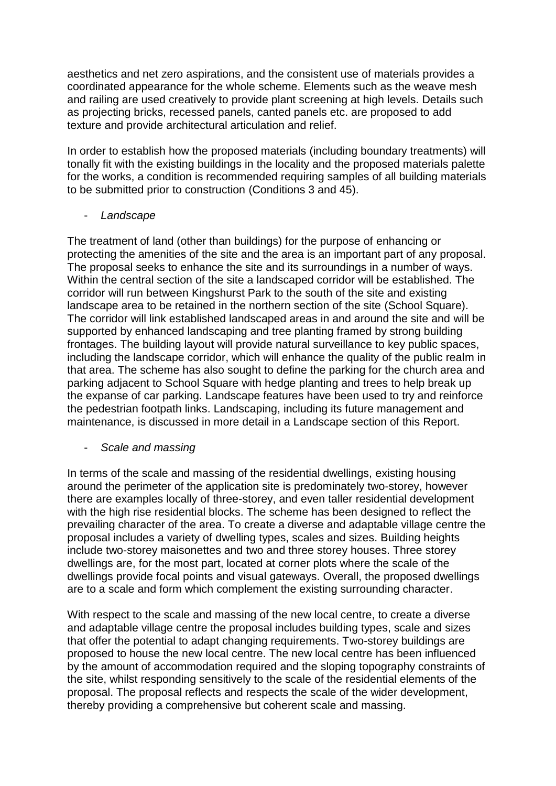aesthetics and net zero aspirations, and the consistent use of materials provides a coordinated appearance for the whole scheme. Elements such as the weave mesh and railing are used creatively to provide plant screening at high levels. Details such as projecting bricks, recessed panels, canted panels etc. are proposed to add texture and provide architectural articulation and relief.

In order to establish how the proposed materials (including boundary treatments) will tonally fit with the existing buildings in the locality and the proposed materials palette for the works, a condition is recommended requiring samples of all building materials to be submitted prior to construction (Conditions 3 and 45).

- *Landscape*

The treatment of land (other than buildings) for the purpose of enhancing or protecting the amenities of the site and the area is an important part of any proposal. The proposal seeks to enhance the site and its surroundings in a number of ways. Within the central section of the site a landscaped corridor will be established. The corridor will run between Kingshurst Park to the south of the site and existing landscape area to be retained in the northern section of the site (School Square). The corridor will link established landscaped areas in and around the site and will be supported by enhanced landscaping and tree planting framed by strong building frontages. The building layout will provide natural surveillance to key public spaces, including the landscape corridor, which will enhance the quality of the public realm in that area. The scheme has also sought to define the parking for the church area and parking adjacent to School Square with hedge planting and trees to help break up the expanse of car parking. Landscape features have been used to try and reinforce the pedestrian footpath links. Landscaping, including its future management and maintenance, is discussed in more detail in a Landscape section of this Report.

#### - *Scale and massing*

In terms of the scale and massing of the residential dwellings, existing housing around the perimeter of the application site is predominately two-storey, however there are examples locally of three-storey, and even taller residential development with the high rise residential blocks. The scheme has been designed to reflect the prevailing character of the area. To create a diverse and adaptable village centre the proposal includes a variety of dwelling types, scales and sizes. Building heights include two-storey maisonettes and two and three storey houses. Three storey dwellings are, for the most part, located at corner plots where the scale of the dwellings provide focal points and visual gateways. Overall, the proposed dwellings are to a scale and form which complement the existing surrounding character.

With respect to the scale and massing of the new local centre, to create a diverse and adaptable village centre the proposal includes building types, scale and sizes that offer the potential to adapt changing requirements. Two-storey buildings are proposed to house the new local centre. The new local centre has been influenced by the amount of accommodation required and the sloping topography constraints of the site, whilst responding sensitively to the scale of the residential elements of the proposal. The proposal reflects and respects the scale of the wider development, thereby providing a comprehensive but coherent scale and massing.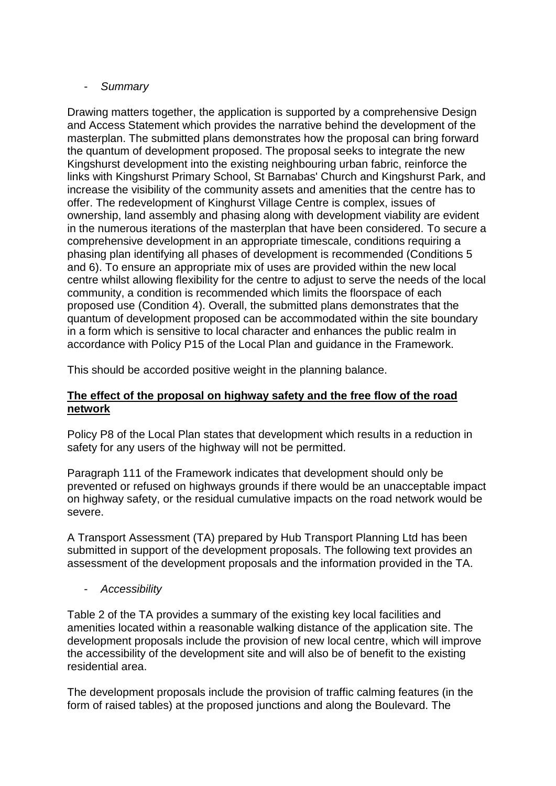### - *Summary*

Drawing matters together, the application is supported by a comprehensive Design and Access Statement which provides the narrative behind the development of the masterplan. The submitted plans demonstrates how the proposal can bring forward the quantum of development proposed. The proposal seeks to integrate the new Kingshurst development into the existing neighbouring urban fabric, reinforce the links with Kingshurst Primary School, St Barnabas' Church and Kingshurst Park, and increase the visibility of the community assets and amenities that the centre has to offer. The redevelopment of Kinghurst Village Centre is complex, issues of ownership, land assembly and phasing along with development viability are evident in the numerous iterations of the masterplan that have been considered. To secure a comprehensive development in an appropriate timescale, conditions requiring a phasing plan identifying all phases of development is recommended (Conditions 5 and 6). To ensure an appropriate mix of uses are provided within the new local centre whilst allowing flexibility for the centre to adjust to serve the needs of the local community, a condition is recommended which limits the floorspace of each proposed use (Condition 4). Overall, the submitted plans demonstrates that the quantum of development proposed can be accommodated within the site boundary in a form which is sensitive to local character and enhances the public realm in accordance with Policy P15 of the Local Plan and guidance in the Framework.

This should be accorded positive weight in the planning balance.

# **The effect of the proposal on highway safety and the free flow of the road network**

Policy P8 of the Local Plan states that development which results in a reduction in safety for any users of the highway will not be permitted.

Paragraph 111 of the Framework indicates that development should only be prevented or refused on highways grounds if there would be an unacceptable impact on highway safety, or the residual cumulative impacts on the road network would be severe.

A Transport Assessment (TA) prepared by Hub Transport Planning Ltd has been submitted in support of the development proposals. The following text provides an assessment of the development proposals and the information provided in the TA.

- *Accessibility* 

Table 2 of the TA provides a summary of the existing key local facilities and amenities located within a reasonable walking distance of the application site. The development proposals include the provision of new local centre, which will improve the accessibility of the development site and will also be of benefit to the existing residential area.

The development proposals include the provision of traffic calming features (in the form of raised tables) at the proposed junctions and along the Boulevard. The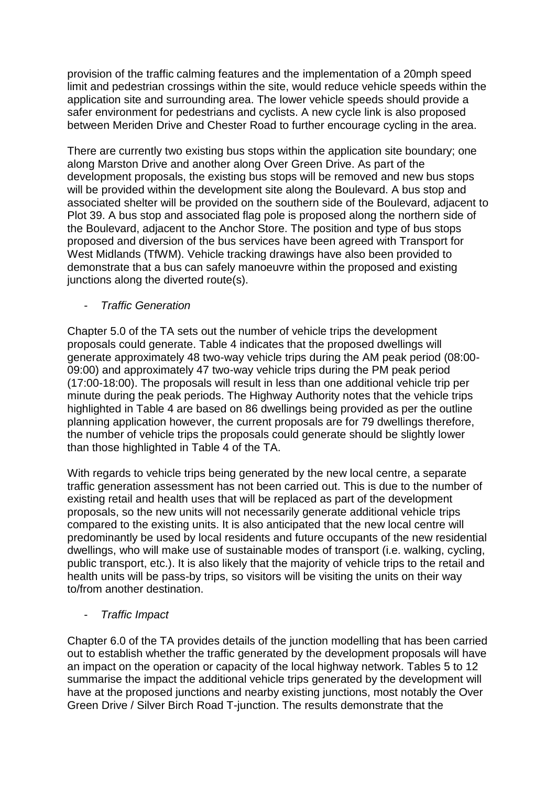provision of the traffic calming features and the implementation of a 20mph speed limit and pedestrian crossings within the site, would reduce vehicle speeds within the application site and surrounding area. The lower vehicle speeds should provide a safer environment for pedestrians and cyclists. A new cycle link is also proposed between Meriden Drive and Chester Road to further encourage cycling in the area.

There are currently two existing bus stops within the application site boundary; one along Marston Drive and another along Over Green Drive. As part of the development proposals, the existing bus stops will be removed and new bus stops will be provided within the development site along the Boulevard. A bus stop and associated shelter will be provided on the southern side of the Boulevard, adjacent to Plot 39. A bus stop and associated flag pole is proposed along the northern side of the Boulevard, adjacent to the Anchor Store. The position and type of bus stops proposed and diversion of the bus services have been agreed with Transport for West Midlands (TfWM). Vehicle tracking drawings have also been provided to demonstrate that a bus can safely manoeuvre within the proposed and existing junctions along the diverted route(s).

- *Traffic Generation* 

Chapter 5.0 of the TA sets out the number of vehicle trips the development proposals could generate. Table 4 indicates that the proposed dwellings will generate approximately 48 two-way vehicle trips during the AM peak period (08:00- 09:00) and approximately 47 two-way vehicle trips during the PM peak period (17:00-18:00). The proposals will result in less than one additional vehicle trip per minute during the peak periods. The Highway Authority notes that the vehicle trips highlighted in Table 4 are based on 86 dwellings being provided as per the outline planning application however, the current proposals are for 79 dwellings therefore, the number of vehicle trips the proposals could generate should be slightly lower than those highlighted in Table 4 of the TA.

With regards to vehicle trips being generated by the new local centre, a separate traffic generation assessment has not been carried out. This is due to the number of existing retail and health uses that will be replaced as part of the development proposals, so the new units will not necessarily generate additional vehicle trips compared to the existing units. It is also anticipated that the new local centre will predominantly be used by local residents and future occupants of the new residential dwellings, who will make use of sustainable modes of transport (i.e. walking, cycling, public transport, etc.). It is also likely that the majority of vehicle trips to the retail and health units will be pass-by trips, so visitors will be visiting the units on their way to/from another destination.

- *Traffic Impact* 

Chapter 6.0 of the TA provides details of the junction modelling that has been carried out to establish whether the traffic generated by the development proposals will have an impact on the operation or capacity of the local highway network. Tables 5 to 12 summarise the impact the additional vehicle trips generated by the development will have at the proposed junctions and nearby existing junctions, most notably the Over Green Drive / Silver Birch Road T-junction. The results demonstrate that the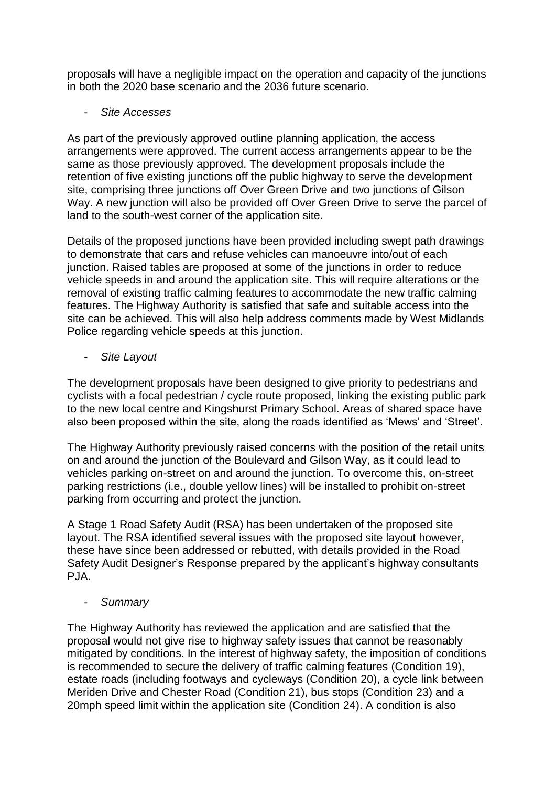proposals will have a negligible impact on the operation and capacity of the junctions in both the 2020 base scenario and the 2036 future scenario.

- *Site Accesses* 

As part of the previously approved outline planning application, the access arrangements were approved. The current access arrangements appear to be the same as those previously approved. The development proposals include the retention of five existing junctions off the public highway to serve the development site, comprising three junctions off Over Green Drive and two junctions of Gilson Way. A new junction will also be provided off Over Green Drive to serve the parcel of land to the south-west corner of the application site.

Details of the proposed junctions have been provided including swept path drawings to demonstrate that cars and refuse vehicles can manoeuvre into/out of each junction. Raised tables are proposed at some of the junctions in order to reduce vehicle speeds in and around the application site. This will require alterations or the removal of existing traffic calming features to accommodate the new traffic calming features. The Highway Authority is satisfied that safe and suitable access into the site can be achieved. This will also help address comments made by West Midlands Police regarding vehicle speeds at this junction.

- *Site Layout* 

The development proposals have been designed to give priority to pedestrians and cyclists with a focal pedestrian / cycle route proposed, linking the existing public park to the new local centre and Kingshurst Primary School. Areas of shared space have also been proposed within the site, along the roads identified as 'Mews' and 'Street'.

The Highway Authority previously raised concerns with the position of the retail units on and around the junction of the Boulevard and Gilson Way, as it could lead to vehicles parking on-street on and around the junction. To overcome this, on-street parking restrictions (i.e., double yellow lines) will be installed to prohibit on-street parking from occurring and protect the junction.

A Stage 1 Road Safety Audit (RSA) has been undertaken of the proposed site layout. The RSA identified several issues with the proposed site layout however, these have since been addressed or rebutted, with details provided in the Road Safety Audit Designer's Response prepared by the applicant's highway consultants PJA.

- *Summary* 

The Highway Authority has reviewed the application and are satisfied that the proposal would not give rise to highway safety issues that cannot be reasonably mitigated by conditions. In the interest of highway safety, the imposition of conditions is recommended to secure the delivery of traffic calming features (Condition 19), estate roads (including footways and cycleways (Condition 20), a cycle link between Meriden Drive and Chester Road (Condition 21), bus stops (Condition 23) and a 20mph speed limit within the application site (Condition 24). A condition is also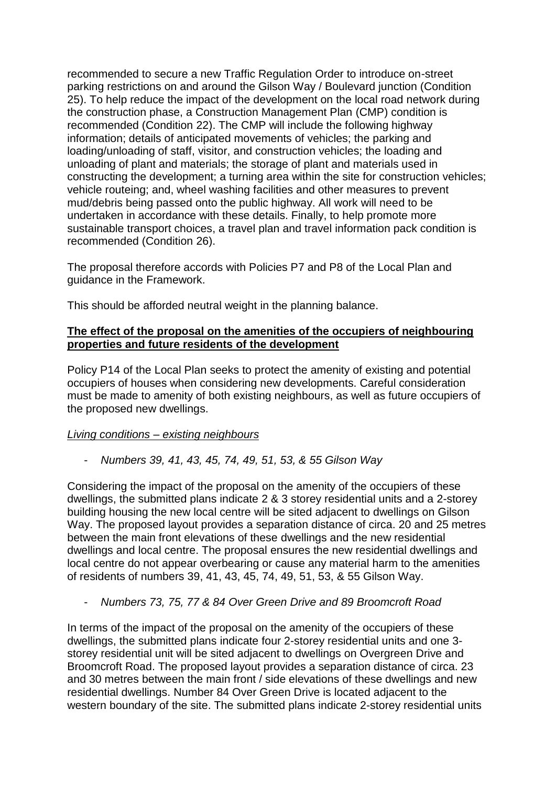recommended to secure a new Traffic Regulation Order to introduce on-street parking restrictions on and around the Gilson Way / Boulevard junction (Condition 25). To help reduce the impact of the development on the local road network during the construction phase, a Construction Management Plan (CMP) condition is recommended (Condition 22). The CMP will include the following highway information; details of anticipated movements of vehicles; the parking and loading/unloading of staff, visitor, and construction vehicles; the loading and unloading of plant and materials; the storage of plant and materials used in constructing the development; a turning area within the site for construction vehicles; vehicle routeing; and, wheel washing facilities and other measures to prevent mud/debris being passed onto the public highway. All work will need to be undertaken in accordance with these details. Finally, to help promote more sustainable transport choices, a travel plan and travel information pack condition is recommended (Condition 26).

The proposal therefore accords with Policies P7 and P8 of the Local Plan and guidance in the Framework.

This should be afforded neutral weight in the planning balance.

### **The effect of the proposal on the amenities of the occupiers of neighbouring properties and future residents of the development**

Policy P14 of the Local Plan seeks to protect the amenity of existing and potential occupiers of houses when considering new developments. Careful consideration must be made to amenity of both existing neighbours, as well as future occupiers of the proposed new dwellings.

#### *Living conditions – existing neighbours*

- *Numbers 39, 41, 43, 45, 74, 49, 51, 53, & 55 Gilson Way*

Considering the impact of the proposal on the amenity of the occupiers of these dwellings, the submitted plans indicate 2 & 3 storey residential units and a 2-storey building housing the new local centre will be sited adjacent to dwellings on Gilson Way. The proposed layout provides a separation distance of circa. 20 and 25 metres between the main front elevations of these dwellings and the new residential dwellings and local centre. The proposal ensures the new residential dwellings and local centre do not appear overbearing or cause any material harm to the amenities of residents of numbers 39, 41, 43, 45, 74, 49, 51, 53, & 55 Gilson Way.

- *Numbers 73, 75, 77 & 84 Over Green Drive and 89 Broomcroft Road*

In terms of the impact of the proposal on the amenity of the occupiers of these dwellings, the submitted plans indicate four 2-storey residential units and one 3 storey residential unit will be sited adjacent to dwellings on Overgreen Drive and Broomcroft Road. The proposed layout provides a separation distance of circa. 23 and 30 metres between the main front / side elevations of these dwellings and new residential dwellings. Number 84 Over Green Drive is located adjacent to the western boundary of the site. The submitted plans indicate 2-storey residential units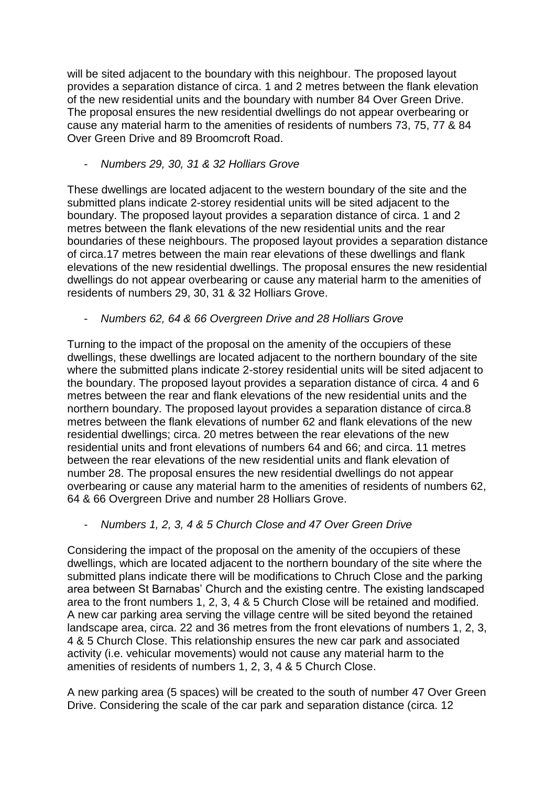will be sited adjacent to the boundary with this neighbour. The proposed layout provides a separation distance of circa. 1 and 2 metres between the flank elevation of the new residential units and the boundary with number 84 Over Green Drive. The proposal ensures the new residential dwellings do not appear overbearing or cause any material harm to the amenities of residents of numbers 73, 75, 77 & 84 Over Green Drive and 89 Broomcroft Road.

- *Numbers 29, 30, 31 & 32 Holliars Grove*

These dwellings are located adjacent to the western boundary of the site and the submitted plans indicate 2-storey residential units will be sited adjacent to the boundary. The proposed layout provides a separation distance of circa. 1 and 2 metres between the flank elevations of the new residential units and the rear boundaries of these neighbours. The proposed layout provides a separation distance of circa.17 metres between the main rear elevations of these dwellings and flank elevations of the new residential dwellings. The proposal ensures the new residential dwellings do not appear overbearing or cause any material harm to the amenities of residents of numbers 29, 30, 31 & 32 Holliars Grove.

- *Numbers 62, 64 & 66 Overgreen Drive and 28 Holliars Grove*

Turning to the impact of the proposal on the amenity of the occupiers of these dwellings, these dwellings are located adjacent to the northern boundary of the site where the submitted plans indicate 2-storey residential units will be sited adjacent to the boundary. The proposed layout provides a separation distance of circa. 4 and 6 metres between the rear and flank elevations of the new residential units and the northern boundary. The proposed layout provides a separation distance of circa.8 metres between the flank elevations of number 62 and flank elevations of the new residential dwellings; circa. 20 metres between the rear elevations of the new residential units and front elevations of numbers 64 and 66; and circa. 11 metres between the rear elevations of the new residential units and flank elevation of number 28. The proposal ensures the new residential dwellings do not appear overbearing or cause any material harm to the amenities of residents of numbers 62, 64 & 66 Overgreen Drive and number 28 Holliars Grove.

- *Numbers 1, 2, 3, 4 & 5 Church Close and 47 Over Green Drive*

Considering the impact of the proposal on the amenity of the occupiers of these dwellings, which are located adjacent to the northern boundary of the site where the submitted plans indicate there will be modifications to Chruch Close and the parking area between St Barnabas' Church and the existing centre. The existing landscaped area to the front numbers 1, 2, 3, 4 & 5 Church Close will be retained and modified. A new car parking area serving the village centre will be sited beyond the retained landscape area, circa. 22 and 36 metres from the front elevations of numbers 1, 2, 3, 4 & 5 Church Close. This relationship ensures the new car park and associated activity (i.e. vehicular movements) would not cause any material harm to the amenities of residents of numbers 1, 2, 3, 4 & 5 Church Close.

A new parking area (5 spaces) will be created to the south of number 47 Over Green Drive. Considering the scale of the car park and separation distance (circa. 12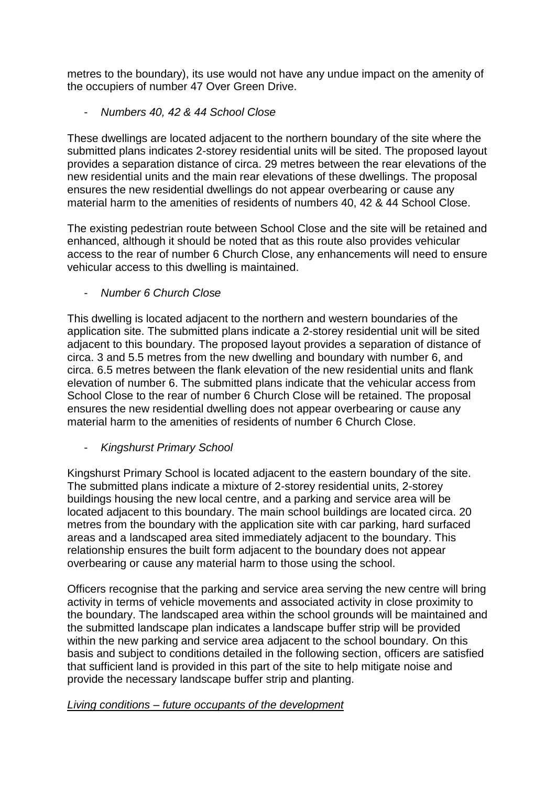metres to the boundary), its use would not have any undue impact on the amenity of the occupiers of number 47 Over Green Drive.

- *Numbers 40, 42 & 44 School Close*

These dwellings are located adjacent to the northern boundary of the site where the submitted plans indicates 2-storey residential units will be sited. The proposed layout provides a separation distance of circa. 29 metres between the rear elevations of the new residential units and the main rear elevations of these dwellings. The proposal ensures the new residential dwellings do not appear overbearing or cause any material harm to the amenities of residents of numbers 40, 42 & 44 School Close.

The existing pedestrian route between School Close and the site will be retained and enhanced, although it should be noted that as this route also provides vehicular access to the rear of number 6 Church Close, any enhancements will need to ensure vehicular access to this dwelling is maintained.

- *Number 6 Church Close*

This dwelling is located adjacent to the northern and western boundaries of the application site. The submitted plans indicate a 2-storey residential unit will be sited adjacent to this boundary. The proposed layout provides a separation of distance of circa. 3 and 5.5 metres from the new dwelling and boundary with number 6, and circa. 6.5 metres between the flank elevation of the new residential units and flank elevation of number 6. The submitted plans indicate that the vehicular access from School Close to the rear of number 6 Church Close will be retained. The proposal ensures the new residential dwelling does not appear overbearing or cause any material harm to the amenities of residents of number 6 Church Close.

- *Kingshurst Primary School*

Kingshurst Primary School is located adjacent to the eastern boundary of the site. The submitted plans indicate a mixture of 2-storey residential units, 2-storey buildings housing the new local centre, and a parking and service area will be located adjacent to this boundary. The main school buildings are located circa. 20 metres from the boundary with the application site with car parking, hard surfaced areas and a landscaped area sited immediately adjacent to the boundary. This relationship ensures the built form adjacent to the boundary does not appear overbearing or cause any material harm to those using the school.

Officers recognise that the parking and service area serving the new centre will bring activity in terms of vehicle movements and associated activity in close proximity to the boundary. The landscaped area within the school grounds will be maintained and the submitted landscape plan indicates a landscape buffer strip will be provided within the new parking and service area adjacent to the school boundary. On this basis and subject to conditions detailed in the following section, officers are satisfied that sufficient land is provided in this part of the site to help mitigate noise and provide the necessary landscape buffer strip and planting.

# *Living conditions – future occupants of the development*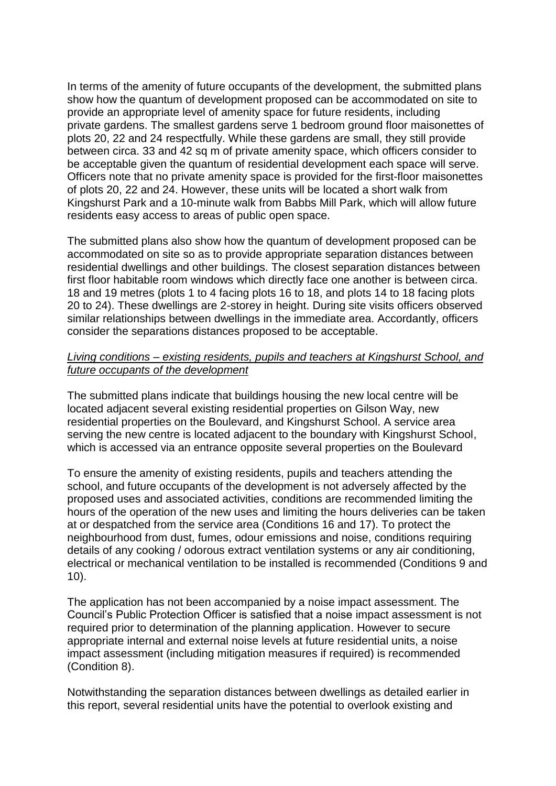In terms of the amenity of future occupants of the development, the submitted plans show how the quantum of development proposed can be accommodated on site to provide an appropriate level of amenity space for future residents, including private gardens. The smallest gardens serve 1 bedroom ground floor maisonettes of plots 20, 22 and 24 respectfully. While these gardens are small, they still provide between circa. 33 and 42 sq m of private amenity space, which officers consider to be acceptable given the quantum of residential development each space will serve. Officers note that no private amenity space is provided for the first-floor maisonettes of plots 20, 22 and 24. However, these units will be located a short walk from Kingshurst Park and a 10-minute walk from Babbs Mill Park, which will allow future residents easy access to areas of public open space.

The submitted plans also show how the quantum of development proposed can be accommodated on site so as to provide appropriate separation distances between residential dwellings and other buildings. The closest separation distances between first floor habitable room windows which directly face one another is between circa. 18 and 19 metres (plots 1 to 4 facing plots 16 to 18, and plots 14 to 18 facing plots 20 to 24). These dwellings are 2-storey in height. During site visits officers observed similar relationships between dwellings in the immediate area. Accordantly, officers consider the separations distances proposed to be acceptable.

#### *Living conditions – existing residents, pupils and teachers at Kingshurst School, and future occupants of the development*

The submitted plans indicate that buildings housing the new local centre will be located adjacent several existing residential properties on Gilson Way, new residential properties on the Boulevard, and Kingshurst School. A service area serving the new centre is located adjacent to the boundary with Kingshurst School, which is accessed via an entrance opposite several properties on the Boulevard

To ensure the amenity of existing residents, pupils and teachers attending the school, and future occupants of the development is not adversely affected by the proposed uses and associated activities, conditions are recommended limiting the hours of the operation of the new uses and limiting the hours deliveries can be taken at or despatched from the service area (Conditions 16 and 17). To protect the neighbourhood from dust, fumes, odour emissions and noise, conditions requiring details of any cooking / odorous extract ventilation systems or any air conditioning, electrical or mechanical ventilation to be installed is recommended (Conditions 9 and 10).

The application has not been accompanied by a noise impact assessment. The Council's Public Protection Officer is satisfied that a noise impact assessment is not required prior to determination of the planning application. However to secure appropriate internal and external noise levels at future residential units, a noise impact assessment (including mitigation measures if required) is recommended (Condition 8).

Notwithstanding the separation distances between dwellings as detailed earlier in this report, several residential units have the potential to overlook existing and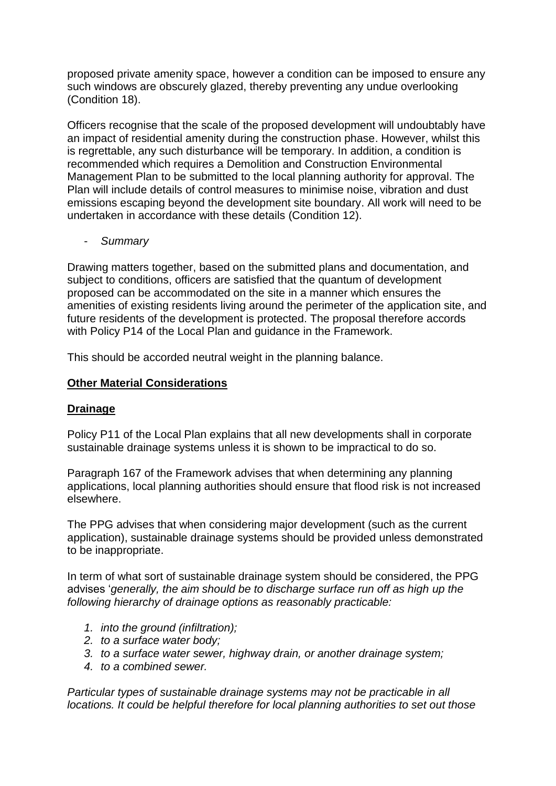proposed private amenity space, however a condition can be imposed to ensure any such windows are obscurely glazed, thereby preventing any undue overlooking (Condition 18).

Officers recognise that the scale of the proposed development will undoubtably have an impact of residential amenity during the construction phase. However, whilst this is regrettable, any such disturbance will be temporary. In addition, a condition is recommended which requires a Demolition and Construction Environmental Management Plan to be submitted to the local planning authority for approval. The Plan will include details of control measures to minimise noise, vibration and dust emissions escaping beyond the development site boundary. All work will need to be undertaken in accordance with these details (Condition 12).

- *Summary*

Drawing matters together, based on the submitted plans and documentation, and subject to conditions, officers are satisfied that the quantum of development proposed can be accommodated on the site in a manner which ensures the amenities of existing residents living around the perimeter of the application site, and future residents of the development is protected. The proposal therefore accords with Policy P14 of the Local Plan and guidance in the Framework.

This should be accorded neutral weight in the planning balance.

#### **Other Material Considerations**

#### **Drainage**

Policy P11 of the Local Plan explains that all new developments shall in corporate sustainable drainage systems unless it is shown to be impractical to do so.

Paragraph 167 of the Framework advises that when determining any planning applications, local planning authorities should ensure that flood risk is not increased elsewhere.

The PPG advises that when considering major development (such as the current application), sustainable drainage systems should be provided unless demonstrated to be inappropriate.

In term of what sort of sustainable drainage system should be considered, the PPG advises '*generally, the aim should be to discharge surface run off as high up the following hierarchy of drainage options as reasonably practicable:*

- *1. into the ground (infiltration);*
- *2. to a surface water body;*
- *3. to a surface water sewer, highway drain, or another drainage system;*
- *4. to a combined sewer.*

*Particular types of sustainable drainage systems may not be practicable in all locations. It could be helpful therefore for local planning authorities to set out those*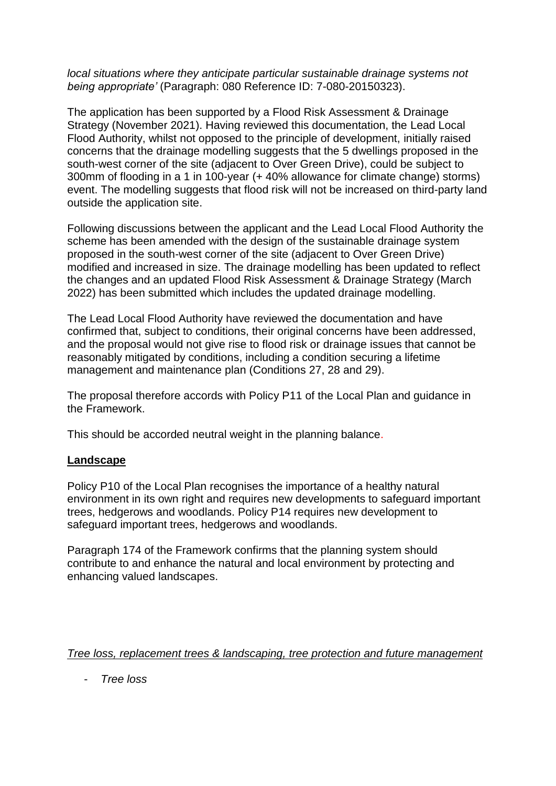#### *local situations where they anticipate particular sustainable drainage systems not being appropriate'* (Paragraph: 080 Reference ID: 7-080-20150323).

The application has been supported by a Flood Risk Assessment & Drainage Strategy (November 2021). Having reviewed this documentation, the Lead Local Flood Authority, whilst not opposed to the principle of development, initially raised concerns that the drainage modelling suggests that the 5 dwellings proposed in the south-west corner of the site (adjacent to Over Green Drive), could be subject to 300mm of flooding in a 1 in 100-year (+ 40% allowance for climate change) storms) event. The modelling suggests that flood risk will not be increased on third-party land outside the application site.

Following discussions between the applicant and the Lead Local Flood Authority the scheme has been amended with the design of the sustainable drainage system proposed in the south-west corner of the site (adjacent to Over Green Drive) modified and increased in size. The drainage modelling has been updated to reflect the changes and an updated Flood Risk Assessment & Drainage Strategy (March 2022) has been submitted which includes the updated drainage modelling.

The Lead Local Flood Authority have reviewed the documentation and have confirmed that, subject to conditions, their original concerns have been addressed, and the proposal would not give rise to flood risk or drainage issues that cannot be reasonably mitigated by conditions, including a condition securing a lifetime management and maintenance plan (Conditions 27, 28 and 29).

The proposal therefore accords with Policy P11 of the Local Plan and guidance in the Framework.

This should be accorded neutral weight in the planning balance.

#### **Landscape**

Policy P10 of the Local Plan recognises the importance of a healthy natural environment in its own right and requires new developments to safeguard important trees, hedgerows and woodlands. Policy P14 requires new development to safeguard important trees, hedgerows and woodlands.

Paragraph 174 of the Framework confirms that the planning system should contribute to and enhance the natural and local environment by protecting and enhancing valued landscapes.

#### *Tree loss, replacement trees & landscaping, tree protection and future management*

- *Tree loss*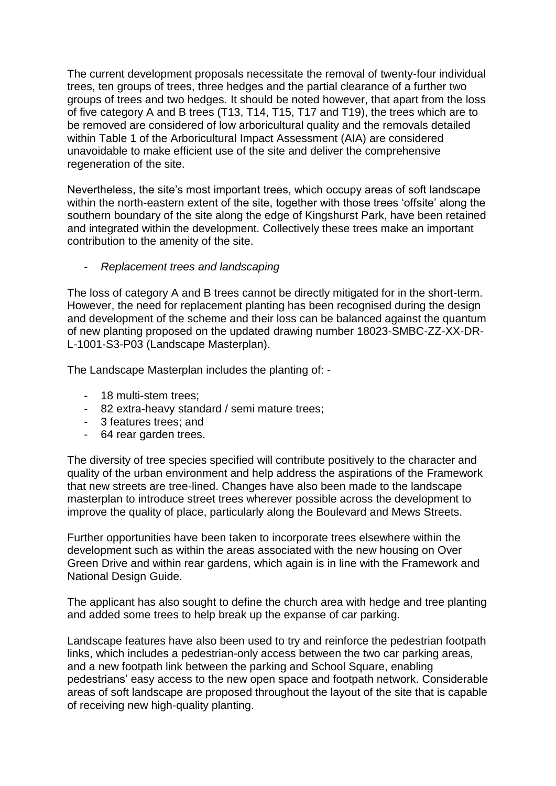The current development proposals necessitate the removal of twenty-four individual trees, ten groups of trees, three hedges and the partial clearance of a further two groups of trees and two hedges. It should be noted however, that apart from the loss of five category A and B trees (T13, T14, T15, T17 and T19), the trees which are to be removed are considered of low arboricultural quality and the removals detailed within Table 1 of the Arboricultural Impact Assessment (AIA) are considered unavoidable to make efficient use of the site and deliver the comprehensive regeneration of the site.

Nevertheless, the site's most important trees, which occupy areas of soft landscape within the north-eastern extent of the site, together with those trees 'offsite' along the southern boundary of the site along the edge of Kingshurst Park, have been retained and integrated within the development. Collectively these trees make an important contribution to the amenity of the site.

- *Replacement trees and landscaping*

The loss of category A and B trees cannot be directly mitigated for in the short-term. However, the need for replacement planting has been recognised during the design and development of the scheme and their loss can be balanced against the quantum of new planting proposed on the updated drawing number 18023-SMBC-ZZ-XX-DR-L-1001-S3-P03 (Landscape Masterplan).

The Landscape Masterplan includes the planting of: -

- 18 multi-stem trees;
- 82 extra-heavy standard / semi mature trees;
- 3 features trees; and
- 64 rear garden trees.

The diversity of tree species specified will contribute positively to the character and quality of the urban environment and help address the aspirations of the Framework that new streets are tree-lined. Changes have also been made to the landscape masterplan to introduce street trees wherever possible across the development to improve the quality of place, particularly along the Boulevard and Mews Streets.

Further opportunities have been taken to incorporate trees elsewhere within the development such as within the areas associated with the new housing on Over Green Drive and within rear gardens, which again is in line with the Framework and National Design Guide.

The applicant has also sought to define the church area with hedge and tree planting and added some trees to help break up the expanse of car parking.

Landscape features have also been used to try and reinforce the pedestrian footpath links, which includes a pedestrian-only access between the two car parking areas, and a new footpath link between the parking and School Square, enabling pedestrians' easy access to the new open space and footpath network. Considerable areas of soft landscape are proposed throughout the layout of the site that is capable of receiving new high-quality planting.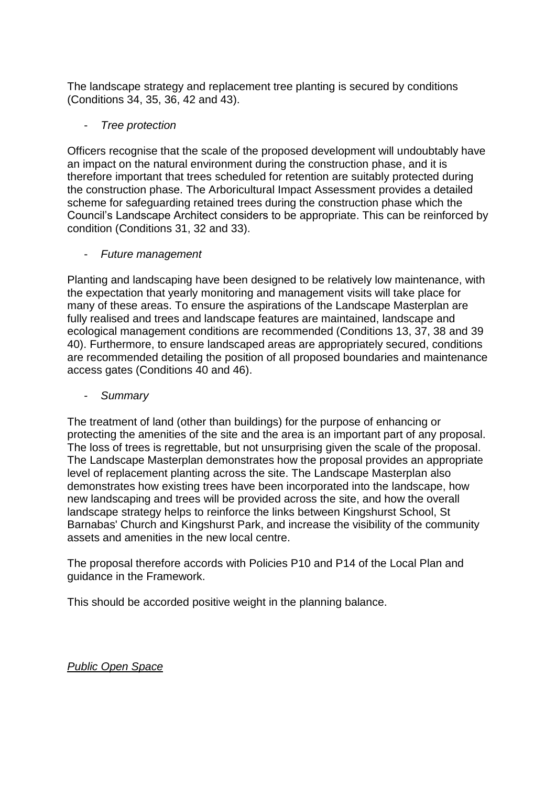The landscape strategy and replacement tree planting is secured by conditions (Conditions 34, 35, 36, 42 and 43).

### - *Tree protection*

Officers recognise that the scale of the proposed development will undoubtably have an impact on the natural environment during the construction phase, and it is therefore important that trees scheduled for retention are suitably protected during the construction phase. The Arboricultural Impact Assessment provides a detailed scheme for safeguarding retained trees during the construction phase which the Council's Landscape Architect considers to be appropriate. This can be reinforced by condition (Conditions 31, 32 and 33).

#### - *Future management*

Planting and landscaping have been designed to be relatively low maintenance, with the expectation that yearly monitoring and management visits will take place for many of these areas. To ensure the aspirations of the Landscape Masterplan are fully realised and trees and landscape features are maintained, landscape and ecological management conditions are recommended (Conditions 13, 37, 38 and 39 40). Furthermore, to ensure landscaped areas are appropriately secured, conditions are recommended detailing the position of all proposed boundaries and maintenance access gates (Conditions 40 and 46).

### - *Summary*

The treatment of land (other than buildings) for the purpose of enhancing or protecting the amenities of the site and the area is an important part of any proposal. The loss of trees is regrettable, but not unsurprising given the scale of the proposal. The Landscape Masterplan demonstrates how the proposal provides an appropriate level of replacement planting across the site. The Landscape Masterplan also demonstrates how existing trees have been incorporated into the landscape, how new landscaping and trees will be provided across the site, and how the overall landscape strategy helps to reinforce the links between Kingshurst School, St Barnabas' Church and Kingshurst Park, and increase the visibility of the community assets and amenities in the new local centre.

The proposal therefore accords with Policies P10 and P14 of the Local Plan and guidance in the Framework.

This should be accorded positive weight in the planning balance.

*Public Open Space*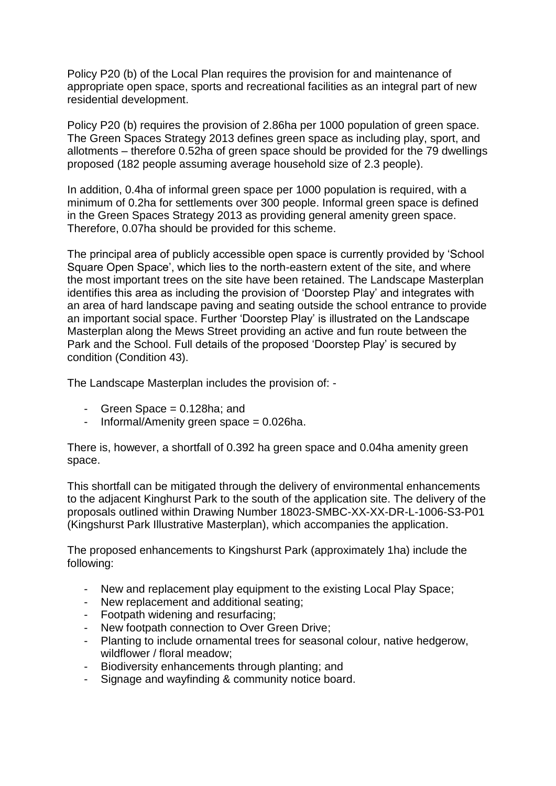Policy P20 (b) of the Local Plan requires the provision for and maintenance of appropriate open space, sports and recreational facilities as an integral part of new residential development.

Policy P20 (b) requires the provision of 2.86ha per 1000 population of green space. The Green Spaces Strategy 2013 defines green space as including play, sport, and allotments – therefore 0.52ha of green space should be provided for the 79 dwellings proposed (182 people assuming average household size of 2.3 people).

In addition, 0.4ha of informal green space per 1000 population is required, with a minimum of 0.2ha for settlements over 300 people. Informal green space is defined in the Green Spaces Strategy 2013 as providing general amenity green space. Therefore, 0.07ha should be provided for this scheme.

The principal area of publicly accessible open space is currently provided by 'School Square Open Space', which lies to the north-eastern extent of the site, and where the most important trees on the site have been retained. The Landscape Masterplan identifies this area as including the provision of 'Doorstep Play' and integrates with an area of hard landscape paving and seating outside the school entrance to provide an important social space. Further 'Doorstep Play' is illustrated on the Landscape Masterplan along the Mews Street providing an active and fun route between the Park and the School. Full details of the proposed 'Doorstep Play' is secured by condition (Condition 43).

The Landscape Masterplan includes the provision of: -

- Green Space  $= 0.128$ ha; and
- Informal/Amenity green space  $= 0.026$ ha.

There is, however, a shortfall of 0.392 ha green space and 0.04ha amenity green space.

This shortfall can be mitigated through the delivery of environmental enhancements to the adjacent Kinghurst Park to the south of the application site. The delivery of the proposals outlined within Drawing Number 18023-SMBC-XX-XX-DR-L-1006-S3-P01 (Kingshurst Park Illustrative Masterplan), which accompanies the application.

The proposed enhancements to Kingshurst Park (approximately 1ha) include the following:

- New and replacement play equipment to the existing Local Play Space;
- New replacement and additional seating:
- Footpath widening and resurfacing;
- New footpath connection to Over Green Drive;
- Planting to include ornamental trees for seasonal colour, native hedgerow, wildflower / floral meadow;
- Biodiversity enhancements through planting; and
- Signage and wayfinding & community notice board.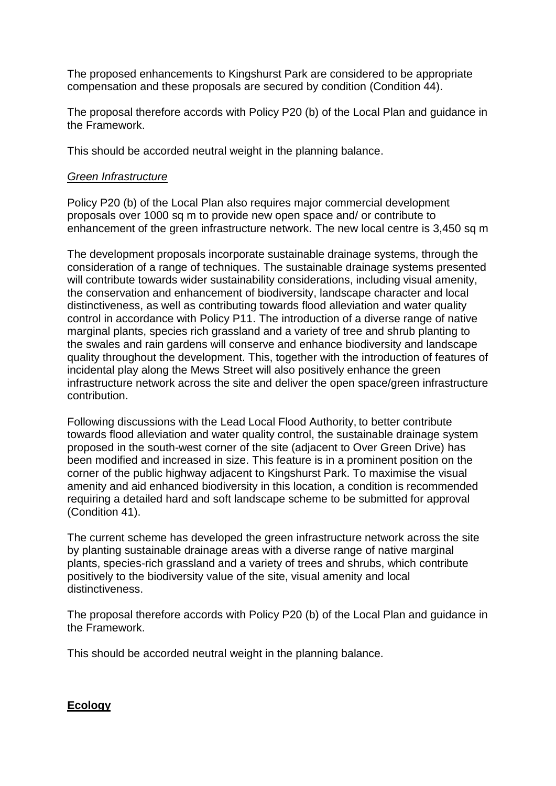The proposed enhancements to Kingshurst Park are considered to be appropriate compensation and these proposals are secured by condition (Condition 44).

The proposal therefore accords with Policy P20 (b) of the Local Plan and guidance in the Framework.

This should be accorded neutral weight in the planning balance.

#### *Green Infrastructure*

Policy P20 (b) of the Local Plan also requires major commercial development proposals over 1000 sq m to provide new open space and/ or contribute to enhancement of the green infrastructure network. The new local centre is 3,450 sq m

The development proposals incorporate sustainable drainage systems, through the consideration of a range of techniques. The sustainable drainage systems presented will contribute towards wider sustainability considerations, including visual amenity, the conservation and enhancement of biodiversity, landscape character and local distinctiveness, as well as contributing towards flood alleviation and water quality control in accordance with Policy P11. The introduction of a diverse range of native marginal plants, species rich grassland and a variety of tree and shrub planting to the swales and rain gardens will conserve and enhance biodiversity and landscape quality throughout the development. This, together with the introduction of features of incidental play along the Mews Street will also positively enhance the green infrastructure network across the site and deliver the open space/green infrastructure contribution.

Following discussions with the Lead Local Flood Authority, to better contribute towards flood alleviation and water quality control, the sustainable drainage system proposed in the south-west corner of the site (adjacent to Over Green Drive) has been modified and increased in size. This feature is in a prominent position on the corner of the public highway adjacent to Kingshurst Park. To maximise the visual amenity and aid enhanced biodiversity in this location, a condition is recommended requiring a detailed hard and soft landscape scheme to be submitted for approval (Condition 41).

The current scheme has developed the green infrastructure network across the site by planting sustainable drainage areas with a diverse range of native marginal plants, species-rich grassland and a variety of trees and shrubs, which contribute positively to the biodiversity value of the site, visual amenity and local distinctiveness.

The proposal therefore accords with Policy P20 (b) of the Local Plan and guidance in the Framework.

This should be accorded neutral weight in the planning balance.

# **Ecology**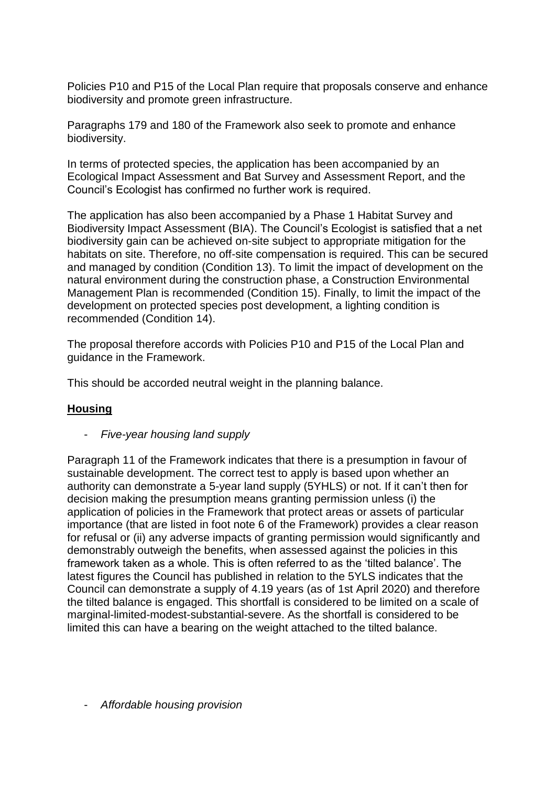Policies P10 and P15 of the Local Plan require that proposals conserve and enhance biodiversity and promote green infrastructure.

Paragraphs 179 and 180 of the Framework also seek to promote and enhance biodiversity.

In terms of protected species, the application has been accompanied by an Ecological Impact Assessment and Bat Survey and Assessment Report, and the Council's Ecologist has confirmed no further work is required.

The application has also been accompanied by a Phase 1 Habitat Survey and Biodiversity Impact Assessment (BIA). The Council's Ecologist is satisfied that a net biodiversity gain can be achieved on-site subject to appropriate mitigation for the habitats on site. Therefore, no off-site compensation is required. This can be secured and managed by condition (Condition 13). To limit the impact of development on the natural environment during the construction phase, a Construction Environmental Management Plan is recommended (Condition 15). Finally, to limit the impact of the development on protected species post development, a lighting condition is recommended (Condition 14).

The proposal therefore accords with Policies P10 and P15 of the Local Plan and guidance in the Framework.

This should be accorded neutral weight in the planning balance.

#### **Housing**

- *Five-year housing land supply*

Paragraph 11 of the Framework indicates that there is a presumption in favour of sustainable development. The correct test to apply is based upon whether an authority can demonstrate a 5-year land supply (5YHLS) or not. If it can't then for decision making the presumption means granting permission unless (i) the application of policies in the Framework that protect areas or assets of particular importance (that are listed in foot note 6 of the Framework) provides a clear reason for refusal or (ii) any adverse impacts of granting permission would significantly and demonstrably outweigh the benefits, when assessed against the policies in this framework taken as a whole. This is often referred to as the 'tilted balance'. The latest figures the Council has published in relation to the 5YLS indicates that the Council can demonstrate a supply of 4.19 years (as of 1st April 2020) and therefore the tilted balance is engaged. This shortfall is considered to be limited on a scale of marginal-limited-modest-substantial-severe. As the shortfall is considered to be limited this can have a bearing on the weight attached to the tilted balance.

- *Affordable housing provision*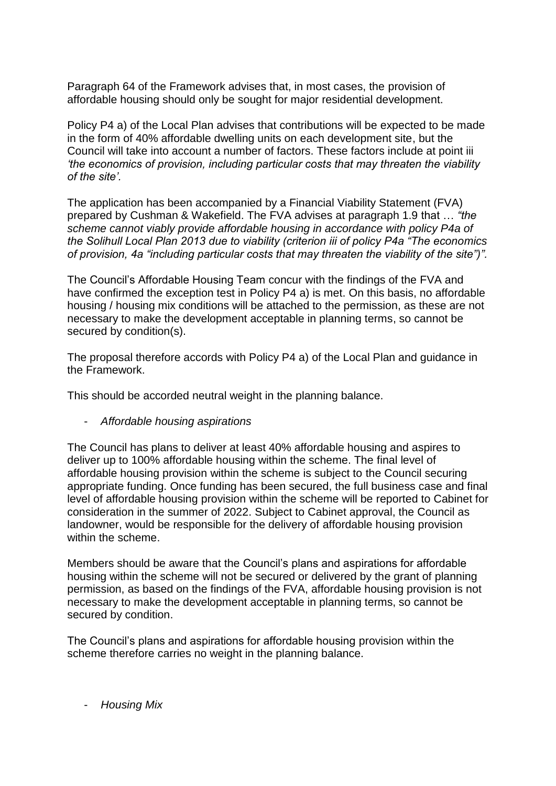Paragraph 64 of the Framework advises that, in most cases, the provision of affordable housing should only be sought for major residential development.

Policy P4 a) of the Local Plan advises that contributions will be expected to be made in the form of 40% affordable dwelling units on each development site, but the Council will take into account a number of factors. These factors include at point iii *'the economics of provision, including particular costs that may threaten the viability of the site'.*

The application has been accompanied by a Financial Viability Statement (FVA) prepared by Cushman & Wakefield. The FVA advises at paragraph 1.9 that … *"the scheme cannot viably provide affordable housing in accordance with policy P4a of the Solihull Local Plan 2013 due to viability (criterion iii of policy P4a "The economics of provision, 4a "including particular costs that may threaten the viability of the site")".* 

The Council's Affordable Housing Team concur with the findings of the FVA and have confirmed the exception test in Policy P4 a) is met. On this basis, no affordable housing / housing mix conditions will be attached to the permission, as these are not necessary to make the development acceptable in planning terms, so cannot be secured by condition(s).

The proposal therefore accords with Policy P4 a) of the Local Plan and guidance in the Framework.

This should be accorded neutral weight in the planning balance.

- *Affordable housing aspirations*

The Council has plans to deliver at least 40% affordable housing and aspires to deliver up to 100% affordable housing within the scheme. The final level of affordable housing provision within the scheme is subject to the Council securing appropriate funding. Once funding has been secured, the full business case and final level of affordable housing provision within the scheme will be reported to Cabinet for consideration in the summer of 2022. Subject to Cabinet approval, the Council as landowner, would be responsible for the delivery of affordable housing provision within the scheme.

Members should be aware that the Council's plans and aspirations for affordable housing within the scheme will not be secured or delivered by the grant of planning permission, as based on the findings of the FVA, affordable housing provision is not necessary to make the development acceptable in planning terms, so cannot be secured by condition.

The Council's plans and aspirations for affordable housing provision within the scheme therefore carries no weight in the planning balance.

- *Housing Mix*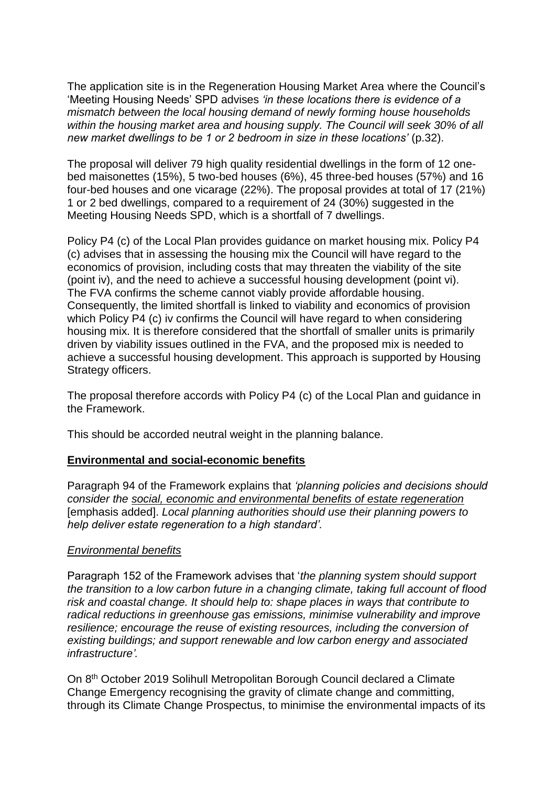The application site is in the Regeneration Housing Market Area where the Council's 'Meeting Housing Needs' SPD advises *'in these locations there is evidence of a mismatch between the local housing demand of newly forming house households within the housing market area and housing supply. The Council will seek 30% of all new market dwellings to be 1 or 2 bedroom in size in these locations'* (p.32).

The proposal will deliver 79 high quality residential dwellings in the form of 12 onebed maisonettes (15%), 5 two-bed houses (6%), 45 three-bed houses (57%) and 16 four-bed houses and one vicarage (22%). The proposal provides at total of 17 (21%) 1 or 2 bed dwellings, compared to a requirement of 24 (30%) suggested in the Meeting Housing Needs SPD, which is a shortfall of 7 dwellings.

Policy P4 (c) of the Local Plan provides guidance on market housing mix. Policy P4 (c) advises that in assessing the housing mix the Council will have regard to the economics of provision, including costs that may threaten the viability of the site (point iv), and the need to achieve a successful housing development (point vi). The FVA confirms the scheme cannot viably provide affordable housing. Consequently, the limited shortfall is linked to viability and economics of provision which Policy P4 (c) iv confirms the Council will have regard to when considering housing mix. It is therefore considered that the shortfall of smaller units is primarily driven by viability issues outlined in the FVA, and the proposed mix is needed to achieve a successful housing development. This approach is supported by Housing Strategy officers.

The proposal therefore accords with Policy P4 (c) of the Local Plan and guidance in the Framework.

This should be accorded neutral weight in the planning balance.

#### **Environmental and social-economic benefits**

Paragraph 94 of the Framework explains that *'planning policies and decisions should consider the social, economic and environmental benefits of estate regeneration* [emphasis added]. *Local planning authorities should use their planning powers to help deliver estate regeneration to a high standard'.*

#### *Environmental benefits*

Paragraph 152 of the Framework advises that '*the planning system should support the transition to a low carbon future in a changing climate, taking full account of flood risk and coastal change. It should help to: shape places in ways that contribute to radical reductions in greenhouse gas emissions, minimise vulnerability and improve resilience; encourage the reuse of existing resources, including the conversion of existing buildings; and support renewable and low carbon energy and associated infrastructure'.*

On 8th October 2019 Solihull Metropolitan Borough Council declared a Climate Change Emergency recognising the gravity of climate change and committing, through its Climate Change Prospectus, to minimise the environmental impacts of its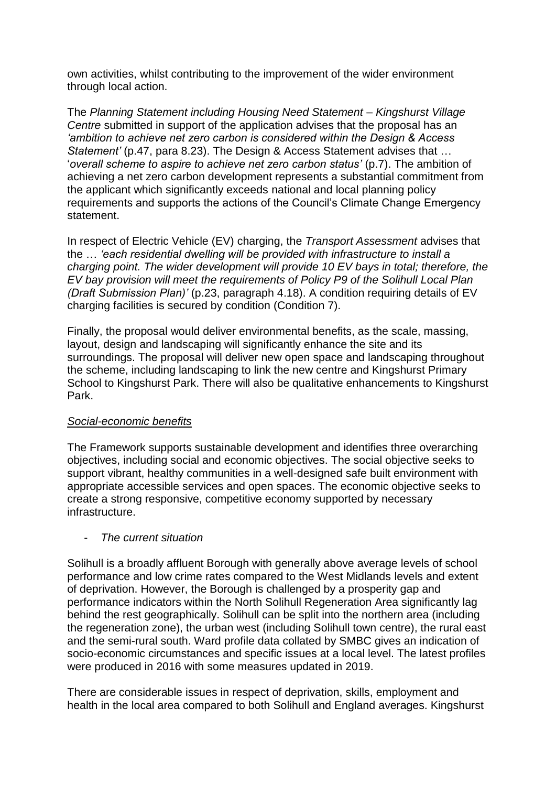own activities, whilst contributing to the improvement of the wider environment through local action.

The *Planning Statement including Housing Need Statement – Kingshurst Village Centre* submitted in support of the application advises that the proposal has an *'ambition to achieve net zero carbon is considered within the Design & Access Statement'* (p.47, para 8.23). The Design & Access Statement advises that … '*overall scheme to aspire to achieve net zero carbon status'* (p.7). The ambition of achieving a net zero carbon development represents a substantial commitment from the applicant which significantly exceeds national and local planning policy requirements and supports the actions of the Council's Climate Change Emergency statement.

In respect of Electric Vehicle (EV) charging, the *Transport Assessment* advises that the … *'each residential dwelling will be provided with infrastructure to install a charging point. The wider development will provide 10 EV bays in total; therefore, the EV bay provision will meet the requirements of Policy P9 of the Solihull Local Plan (Draft Submission Plan)'* (p.23, paragraph 4.18). A condition requiring details of EV charging facilities is secured by condition (Condition 7).

Finally, the proposal would deliver environmental benefits, as the scale, massing, layout, design and landscaping will significantly enhance the site and its surroundings. The proposal will deliver new open space and landscaping throughout the scheme, including landscaping to link the new centre and Kingshurst Primary School to Kingshurst Park. There will also be qualitative enhancements to Kingshurst Park.

#### *Social-economic benefits*

The Framework supports sustainable development and identifies three overarching objectives, including social and economic objectives. The social objective seeks to support vibrant, healthy communities in a well-designed safe built environment with appropriate accessible services and open spaces. The economic objective seeks to create a strong responsive, competitive economy supported by necessary infrastructure.

#### - *The current situation*

Solihull is a broadly affluent Borough with generally above average levels of school performance and low crime rates compared to the West Midlands levels and extent of deprivation. However, the Borough is challenged by a prosperity gap and performance indicators within the North Solihull Regeneration Area significantly lag behind the rest geographically. Solihull can be split into the northern area (including the regeneration zone), the urban west (including Solihull town centre), the rural east and the semi-rural south. Ward profile data collated by SMBC gives an indication of socio-economic circumstances and specific issues at a local level. The latest profiles were produced in 2016 with some measures updated in 2019.

There are considerable issues in respect of deprivation, skills, employment and health in the local area compared to both Solihull and England averages. Kingshurst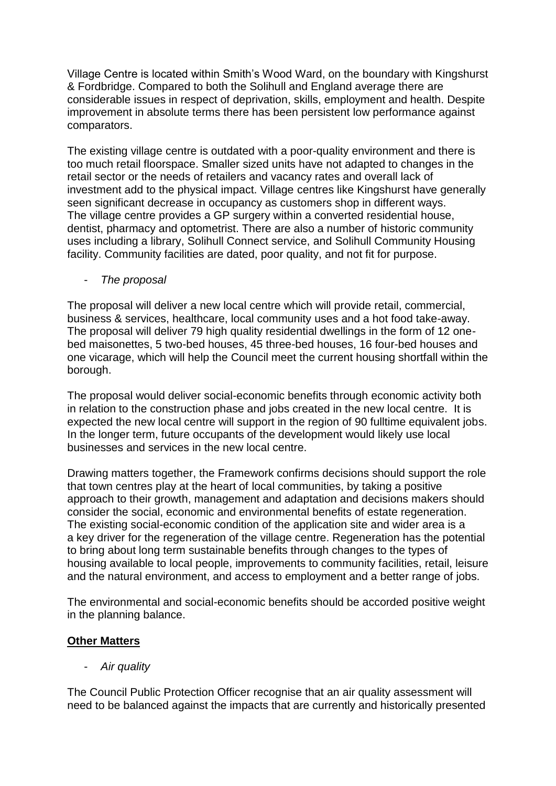Village Centre is located within Smith's Wood Ward, on the boundary with Kingshurst & Fordbridge. Compared to both the Solihull and England average there are considerable issues in respect of deprivation, skills, employment and health. Despite improvement in absolute terms there has been persistent low performance against comparators.

The existing village centre is outdated with a poor-quality environment and there is too much retail floorspace. Smaller sized units have not adapted to changes in the retail sector or the needs of retailers and vacancy rates and overall lack of investment add to the physical impact. Village centres like Kingshurst have generally seen significant decrease in occupancy as customers shop in different ways. The village centre provides a GP surgery within a converted residential house, dentist, pharmacy and optometrist. There are also a number of historic community uses including a library, Solihull Connect service, and Solihull Community Housing facility. Community facilities are dated, poor quality, and not fit for purpose.

- *The proposal*

The proposal will deliver a new local centre which will provide retail, commercial, business & services, healthcare, local community uses and a hot food take-away. The proposal will deliver 79 high quality residential dwellings in the form of 12 onebed maisonettes, 5 two-bed houses, 45 three-bed houses, 16 four-bed houses and one vicarage, which will help the Council meet the current housing shortfall within the borough.

The proposal would deliver social-economic benefits through economic activity both in relation to the construction phase and jobs created in the new local centre. It is expected the new local centre will support in the region of 90 fulltime equivalent jobs. In the longer term, future occupants of the development would likely use local businesses and services in the new local centre.

Drawing matters together, the Framework confirms decisions should support the role that town centres play at the heart of local communities, by taking a positive approach to their growth, management and adaptation and decisions makers should consider the social, economic and environmental benefits of estate regeneration. The existing social-economic condition of the application site and wider area is a a key driver for the regeneration of the village centre. Regeneration has the potential to bring about long term sustainable benefits through changes to the types of housing available to local people, improvements to community facilities, retail, leisure and the natural environment, and access to employment and a better range of jobs.

The environmental and social-economic benefits should be accorded positive weight in the planning balance.

# **Other Matters**

- *Air quality*

The Council Public Protection Officer recognise that an air quality assessment will need to be balanced against the impacts that are currently and historically presented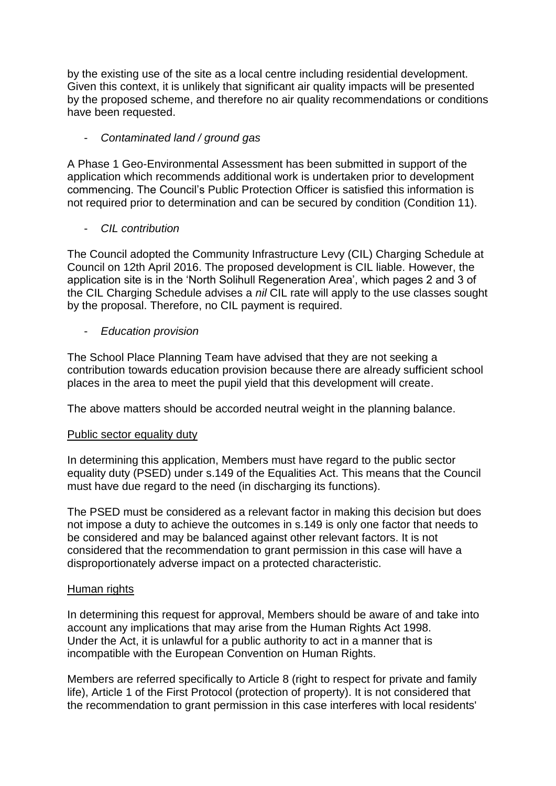by the existing use of the site as a local centre including residential development. Given this context, it is unlikely that significant air quality impacts will be presented by the proposed scheme, and therefore no air quality recommendations or conditions have been requested.

### - *Contaminated land / ground gas*

A Phase 1 Geo-Environmental Assessment has been submitted in support of the application which recommends additional work is undertaken prior to development commencing. The Council's Public Protection Officer is satisfied this information is not required prior to determination and can be secured by condition (Condition 11).

### - *CIL contribution*

The Council adopted the Community Infrastructure Levy (CIL) Charging Schedule at Council on 12th April 2016. The proposed development is CIL liable. However, the application site is in the 'North Solihull Regeneration Area', which pages 2 and 3 of the CIL Charging Schedule advises a *nil* CIL rate will apply to the use classes sought by the proposal. Therefore, no CIL payment is required.

### - *Education provision*

The School Place Planning Team have advised that they are not seeking a contribution towards education provision because there are already sufficient school places in the area to meet the pupil yield that this development will create.

The above matters should be accorded neutral weight in the planning balance.

#### Public sector equality duty

In determining this application, Members must have regard to the public sector equality duty (PSED) under s.149 of the Equalities Act. This means that the Council must have due regard to the need (in discharging its functions).

The PSED must be considered as a relevant factor in making this decision but does not impose a duty to achieve the outcomes in s.149 is only one factor that needs to be considered and may be balanced against other relevant factors. It is not considered that the recommendation to grant permission in this case will have a disproportionately adverse impact on a protected characteristic.

#### Human rights

In determining this request for approval, Members should be aware of and take into account any implications that may arise from the Human Rights Act 1998. Under the Act, it is unlawful for a public authority to act in a manner that is incompatible with the European Convention on Human Rights.

Members are referred specifically to Article 8 (right to respect for private and family life), Article 1 of the First Protocol (protection of property). It is not considered that the recommendation to grant permission in this case interferes with local residents'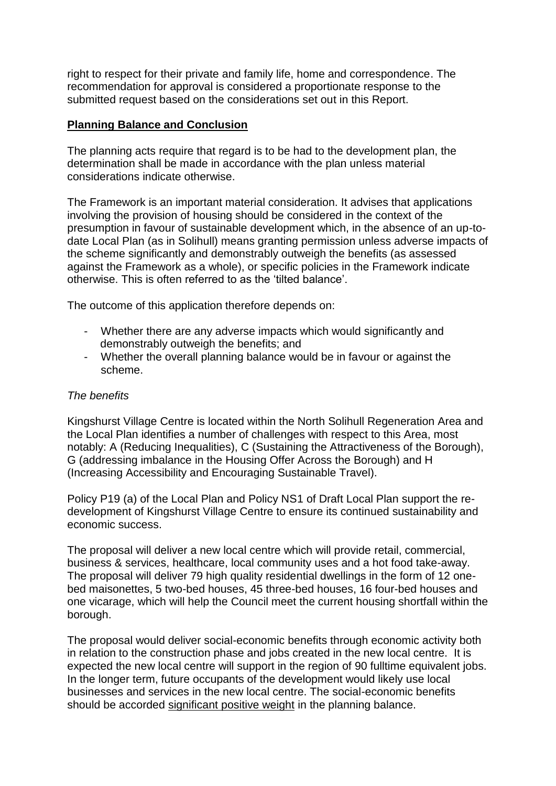right to respect for their private and family life, home and correspondence. The recommendation for approval is considered a proportionate response to the submitted request based on the considerations set out in this Report.

#### **Planning Balance and Conclusion**

The planning acts require that regard is to be had to the development plan, the determination shall be made in accordance with the plan unless material considerations indicate otherwise.

The Framework is an important material consideration. It advises that applications involving the provision of housing should be considered in the context of the presumption in favour of sustainable development which, in the absence of an up-todate Local Plan (as in Solihull) means granting permission unless adverse impacts of the scheme significantly and demonstrably outweigh the benefits (as assessed against the Framework as a whole), or specific policies in the Framework indicate otherwise. This is often referred to as the 'tilted balance'.

The outcome of this application therefore depends on:

- Whether there are any adverse impacts which would significantly and demonstrably outweigh the benefits; and
- Whether the overall planning balance would be in favour or against the scheme.

#### *The benefits*

Kingshurst Village Centre is located within the North Solihull Regeneration Area and the Local Plan identifies a number of challenges with respect to this Area, most notably: A (Reducing Inequalities), C (Sustaining the Attractiveness of the Borough), G (addressing imbalance in the Housing Offer Across the Borough) and H (Increasing Accessibility and Encouraging Sustainable Travel).

Policy P19 (a) of the Local Plan and Policy NS1 of Draft Local Plan support the redevelopment of Kingshurst Village Centre to ensure its continued sustainability and economic success.

The proposal will deliver a new local centre which will provide retail, commercial, business & services, healthcare, local community uses and a hot food take-away. The proposal will deliver 79 high quality residential dwellings in the form of 12 onebed maisonettes, 5 two-bed houses, 45 three-bed houses, 16 four-bed houses and one vicarage, which will help the Council meet the current housing shortfall within the borough.

The proposal would deliver social-economic benefits through economic activity both in relation to the construction phase and jobs created in the new local centre. It is expected the new local centre will support in the region of 90 fulltime equivalent jobs. In the longer term, future occupants of the development would likely use local businesses and services in the new local centre. The social-economic benefits should be accorded significant positive weight in the planning balance.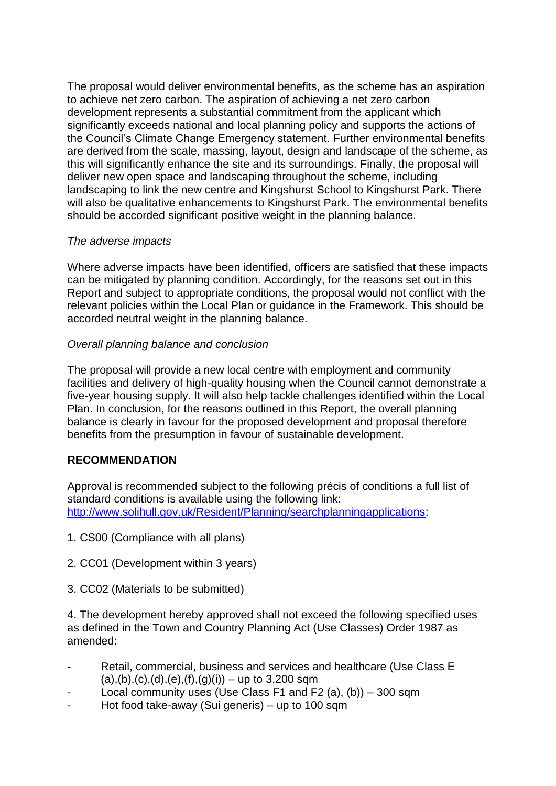The proposal would deliver environmental benefits, as the scheme has an aspiration to achieve net zero carbon. The aspiration of achieving a net zero carbon development represents a substantial commitment from the applicant which significantly exceeds national and local planning policy and supports the actions of the Council's Climate Change Emergency statement. Further environmental benefits are derived from the scale, massing, layout, design and landscape of the scheme, as this will significantly enhance the site and its surroundings. Finally, the proposal will deliver new open space and landscaping throughout the scheme, including landscaping to link the new centre and Kingshurst School to Kingshurst Park. There will also be qualitative enhancements to Kingshurst Park. The environmental benefits should be accorded significant positive weight in the planning balance.

### *The adverse impacts*

Where adverse impacts have been identified, officers are satisfied that these impacts can be mitigated by planning condition. Accordingly, for the reasons set out in this Report and subject to appropriate conditions, the proposal would not conflict with the relevant policies within the Local Plan or guidance in the Framework. This should be accorded neutral weight in the planning balance.

### *Overall planning balance and conclusion*

The proposal will provide a new local centre with employment and community facilities and delivery of high-quality housing when the Council cannot demonstrate a five-year housing supply. It will also help tackle challenges identified within the Local Plan. In conclusion, for the reasons outlined in this Report, the overall planning balance is clearly in favour for the proposed development and proposal therefore benefits from the presumption in favour of sustainable development.

# **RECOMMENDATION**

Approval is recommended subject to the following précis of conditions a full list of standard conditions is available using the following link: [http://www.solihull.gov.uk/Resident/Planning/searchplanningapplications:](http://www.solihull.gov.uk/Resident/Planning/searchplanningapplications)

- 1. CS00 (Compliance with all plans)
- 2. CC01 (Development within 3 years)
- 3. CC02 (Materials to be submitted)

4. The development hereby approved shall not exceed the following specified uses as defined in the Town and Country Planning Act (Use Classes) Order 1987 as amended:

- Retail, commercial, business and services and healthcare (Use Class E  $(a), (b), (c), (d), (e), (f), (g)(i)$  – up to 3,200 sqm
- Local community uses (Use Class F1 and F2 (a), (b))  $-300$  sqm
- Hot food take-away (Sui generis) up to 100 sqm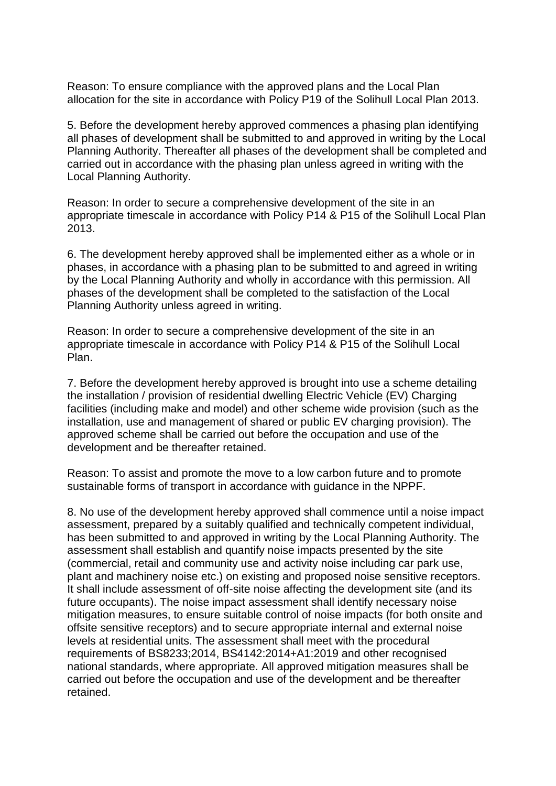Reason: To ensure compliance with the approved plans and the Local Plan allocation for the site in accordance with Policy P19 of the Solihull Local Plan 2013.

5. Before the development hereby approved commences a phasing plan identifying all phases of development shall be submitted to and approved in writing by the Local Planning Authority. Thereafter all phases of the development shall be completed and carried out in accordance with the phasing plan unless agreed in writing with the Local Planning Authority.

Reason: In order to secure a comprehensive development of the site in an appropriate timescale in accordance with Policy P14 & P15 of the Solihull Local Plan 2013.

6. The development hereby approved shall be implemented either as a whole or in phases, in accordance with a phasing plan to be submitted to and agreed in writing by the Local Planning Authority and wholly in accordance with this permission. All phases of the development shall be completed to the satisfaction of the Local Planning Authority unless agreed in writing.

Reason: In order to secure a comprehensive development of the site in an appropriate timescale in accordance with Policy P14 & P15 of the Solihull Local Plan.

7. Before the development hereby approved is brought into use a scheme detailing the installation / provision of residential dwelling Electric Vehicle (EV) Charging facilities (including make and model) and other scheme wide provision (such as the installation, use and management of shared or public EV charging provision). The approved scheme shall be carried out before the occupation and use of the development and be thereafter retained.

Reason: To assist and promote the move to a low carbon future and to promote sustainable forms of transport in accordance with guidance in the NPPF.

8. No use of the development hereby approved shall commence until a noise impact assessment, prepared by a suitably qualified and technically competent individual, has been submitted to and approved in writing by the Local Planning Authority. The assessment shall establish and quantify noise impacts presented by the site (commercial, retail and community use and activity noise including car park use, plant and machinery noise etc.) on existing and proposed noise sensitive receptors. It shall include assessment of off-site noise affecting the development site (and its future occupants). The noise impact assessment shall identify necessary noise mitigation measures, to ensure suitable control of noise impacts (for both onsite and offsite sensitive receptors) and to secure appropriate internal and external noise levels at residential units. The assessment shall meet with the procedural requirements of BS8233;2014, BS4142:2014+A1:2019 and other recognised national standards, where appropriate. All approved mitigation measures shall be carried out before the occupation and use of the development and be thereafter retained.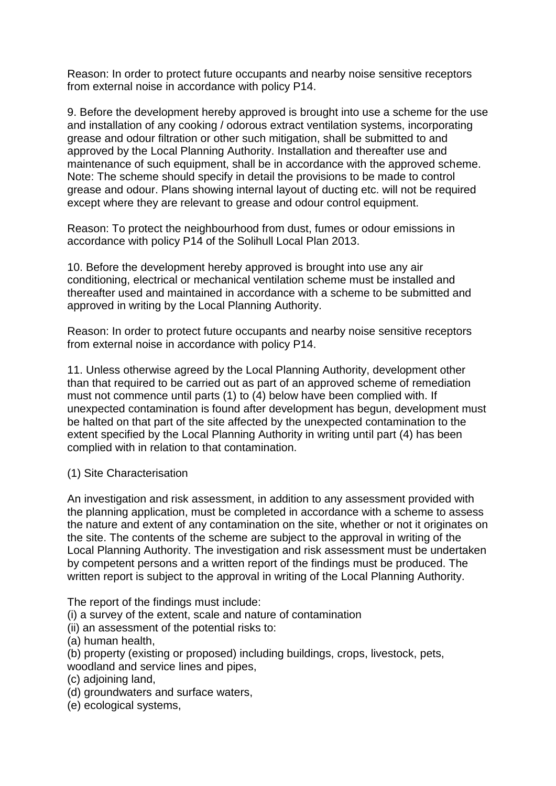Reason: In order to protect future occupants and nearby noise sensitive receptors from external noise in accordance with policy P14.

9. Before the development hereby approved is brought into use a scheme for the use and installation of any cooking / odorous extract ventilation systems, incorporating grease and odour filtration or other such mitigation, shall be submitted to and approved by the Local Planning Authority. Installation and thereafter use and maintenance of such equipment, shall be in accordance with the approved scheme. Note: The scheme should specify in detail the provisions to be made to control grease and odour. Plans showing internal layout of ducting etc. will not be required except where they are relevant to grease and odour control equipment.

Reason: To protect the neighbourhood from dust, fumes or odour emissions in accordance with policy P14 of the Solihull Local Plan 2013.

10. Before the development hereby approved is brought into use any air conditioning, electrical or mechanical ventilation scheme must be installed and thereafter used and maintained in accordance with a scheme to be submitted and approved in writing by the Local Planning Authority.

Reason: In order to protect future occupants and nearby noise sensitive receptors from external noise in accordance with policy P14.

11. Unless otherwise agreed by the Local Planning Authority, development other than that required to be carried out as part of an approved scheme of remediation must not commence until parts (1) to (4) below have been complied with. If unexpected contamination is found after development has begun, development must be halted on that part of the site affected by the unexpected contamination to the extent specified by the Local Planning Authority in writing until part (4) has been complied with in relation to that contamination.

#### (1) Site Characterisation

An investigation and risk assessment, in addition to any assessment provided with the planning application, must be completed in accordance with a scheme to assess the nature and extent of any contamination on the site, whether or not it originates on the site. The contents of the scheme are subject to the approval in writing of the Local Planning Authority. The investigation and risk assessment must be undertaken by competent persons and a written report of the findings must be produced. The written report is subject to the approval in writing of the Local Planning Authority.

The report of the findings must include:

(i) a survey of the extent, scale and nature of contamination

(ii) an assessment of the potential risks to:

(a) human health,

- (b) property (existing or proposed) including buildings, crops, livestock, pets,
- woodland and service lines and pipes,
- (c) adjoining land,
- (d) groundwaters and surface waters,
- (e) ecological systems,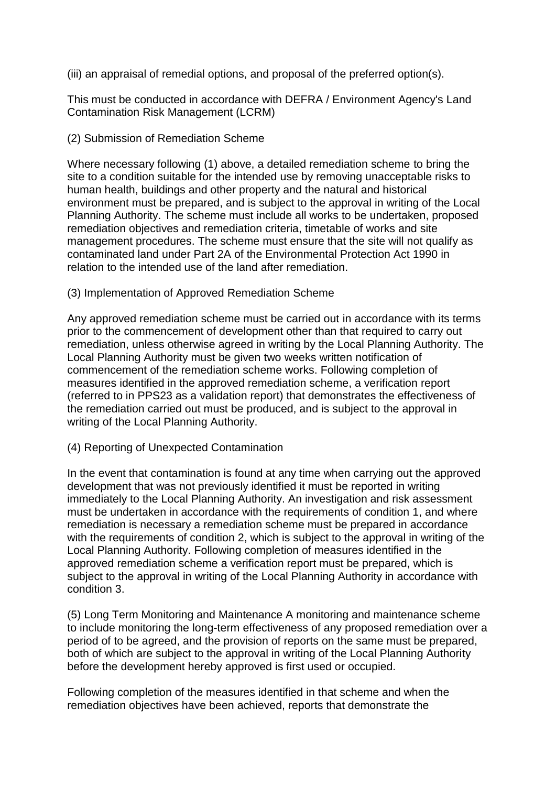(iii) an appraisal of remedial options, and proposal of the preferred option(s).

This must be conducted in accordance with DEFRA / Environment Agency's Land Contamination Risk Management (LCRM)

### (2) Submission of Remediation Scheme

Where necessary following (1) above, a detailed remediation scheme to bring the site to a condition suitable for the intended use by removing unacceptable risks to human health, buildings and other property and the natural and historical environment must be prepared, and is subject to the approval in writing of the Local Planning Authority. The scheme must include all works to be undertaken, proposed remediation objectives and remediation criteria, timetable of works and site management procedures. The scheme must ensure that the site will not qualify as contaminated land under Part 2A of the Environmental Protection Act 1990 in relation to the intended use of the land after remediation.

#### (3) Implementation of Approved Remediation Scheme

Any approved remediation scheme must be carried out in accordance with its terms prior to the commencement of development other than that required to carry out remediation, unless otherwise agreed in writing by the Local Planning Authority. The Local Planning Authority must be given two weeks written notification of commencement of the remediation scheme works. Following completion of measures identified in the approved remediation scheme, a verification report (referred to in PPS23 as a validation report) that demonstrates the effectiveness of the remediation carried out must be produced, and is subject to the approval in writing of the Local Planning Authority.

#### (4) Reporting of Unexpected Contamination

In the event that contamination is found at any time when carrying out the approved development that was not previously identified it must be reported in writing immediately to the Local Planning Authority. An investigation and risk assessment must be undertaken in accordance with the requirements of condition 1, and where remediation is necessary a remediation scheme must be prepared in accordance with the requirements of condition 2, which is subject to the approval in writing of the Local Planning Authority. Following completion of measures identified in the approved remediation scheme a verification report must be prepared, which is subject to the approval in writing of the Local Planning Authority in accordance with condition 3.

(5) Long Term Monitoring and Maintenance A monitoring and maintenance scheme to include monitoring the long-term effectiveness of any proposed remediation over a period of to be agreed, and the provision of reports on the same must be prepared, both of which are subject to the approval in writing of the Local Planning Authority before the development hereby approved is first used or occupied.

Following completion of the measures identified in that scheme and when the remediation objectives have been achieved, reports that demonstrate the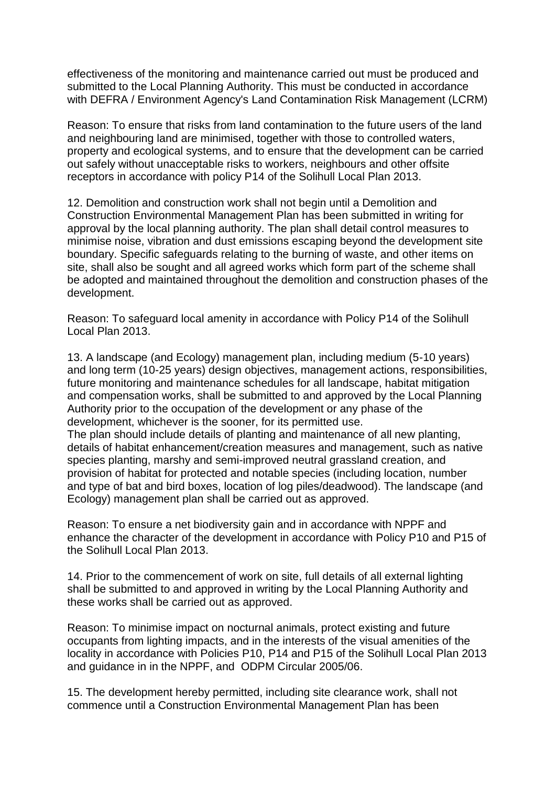effectiveness of the monitoring and maintenance carried out must be produced and submitted to the Local Planning Authority. This must be conducted in accordance with DEFRA / Environment Agency's Land Contamination Risk Management (LCRM)

Reason: To ensure that risks from land contamination to the future users of the land and neighbouring land are minimised, together with those to controlled waters, property and ecological systems, and to ensure that the development can be carried out safely without unacceptable risks to workers, neighbours and other offsite receptors in accordance with policy P14 of the Solihull Local Plan 2013.

12. Demolition and construction work shall not begin until a Demolition and Construction Environmental Management Plan has been submitted in writing for approval by the local planning authority. The plan shall detail control measures to minimise noise, vibration and dust emissions escaping beyond the development site boundary. Specific safeguards relating to the burning of waste, and other items on site, shall also be sought and all agreed works which form part of the scheme shall be adopted and maintained throughout the demolition and construction phases of the development.

Reason: To safeguard local amenity in accordance with Policy P14 of the Solihull Local Plan 2013.

13. A landscape (and Ecology) management plan, including medium (5-10 years) and long term (10-25 years) design objectives, management actions, responsibilities, future monitoring and maintenance schedules for all landscape, habitat mitigation and compensation works, shall be submitted to and approved by the Local Planning Authority prior to the occupation of the development or any phase of the development, whichever is the sooner, for its permitted use. The plan should include details of planting and maintenance of all new planting, details of habitat enhancement/creation measures and management, such as native species planting, marshy and semi-improved neutral grassland creation, and provision of habitat for protected and notable species (including location, number and type of bat and bird boxes, location of log piles/deadwood). The landscape (and

Reason: To ensure a net biodiversity gain and in accordance with NPPF and enhance the character of the development in accordance with Policy P10 and P15 of the Solihull Local Plan 2013.

Ecology) management plan shall be carried out as approved.

14. Prior to the commencement of work on site, full details of all external lighting shall be submitted to and approved in writing by the Local Planning Authority and these works shall be carried out as approved.

Reason: To minimise impact on nocturnal animals, protect existing and future occupants from lighting impacts, and in the interests of the visual amenities of the locality in accordance with Policies P10, P14 and P15 of the Solihull Local Plan 2013 and guidance in in the NPPF, and ODPM Circular 2005/06.

15. The development hereby permitted, including site clearance work, shall not commence until a Construction Environmental Management Plan has been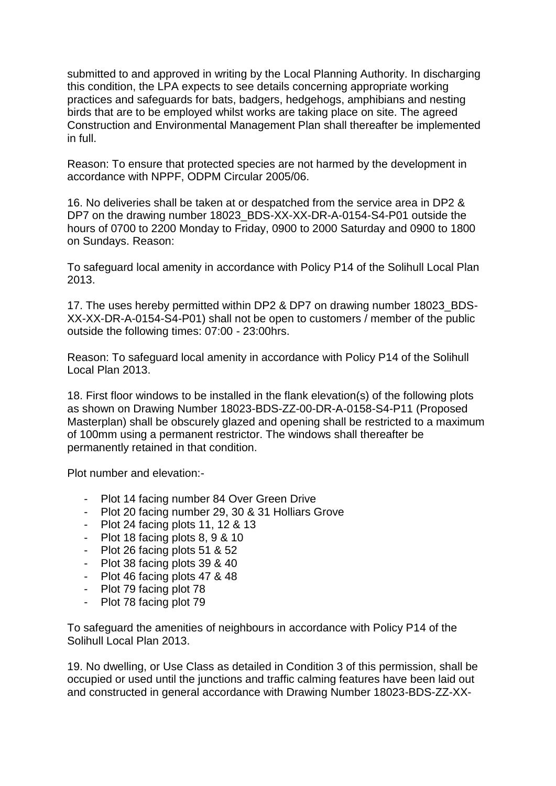submitted to and approved in writing by the Local Planning Authority. In discharging this condition, the LPA expects to see details concerning appropriate working practices and safeguards for bats, badgers, hedgehogs, amphibians and nesting birds that are to be employed whilst works are taking place on site. The agreed Construction and Environmental Management Plan shall thereafter be implemented in full.

Reason: To ensure that protected species are not harmed by the development in accordance with NPPF, ODPM Circular 2005/06.

16. No deliveries shall be taken at or despatched from the service area in DP2 & DP7 on the drawing number 18023 BDS-XX-XX-DR-A-0154-S4-P01 outside the hours of 0700 to 2200 Monday to Friday, 0900 to 2000 Saturday and 0900 to 1800 on Sundays. Reason:

To safeguard local amenity in accordance with Policy P14 of the Solihull Local Plan 2013.

17. The uses hereby permitted within DP2 & DP7 on drawing number 18023 BDS-XX-XX-DR-A-0154-S4-P01) shall not be open to customers / member of the public outside the following times: 07:00 - 23:00hrs.

Reason: To safeguard local amenity in accordance with Policy P14 of the Solihull Local Plan 2013.

18. First floor windows to be installed in the flank elevation(s) of the following plots as shown on Drawing Number 18023-BDS-ZZ-00-DR-A-0158-S4-P11 (Proposed Masterplan) shall be obscurely glazed and opening shall be restricted to a maximum of 100mm using a permanent restrictor. The windows shall thereafter be permanently retained in that condition.

Plot number and elevation:-

- Plot 14 facing number 84 Over Green Drive
- Plot 20 facing number 29, 30 & 31 Holliars Grove
- Plot 24 facing plots 11, 12 & 13
- Plot 18 facing plots 8, 9 & 10
- Plot 26 facing plots 51 & 52
- Plot 38 facing plots 39 & 40
- Plot 46 facing plots 47 & 48
- Plot 79 facing plot 78
- Plot 78 facing plot 79

To safeguard the amenities of neighbours in accordance with Policy P14 of the Solihull Local Plan 2013.

19. No dwelling, or Use Class as detailed in Condition 3 of this permission, shall be occupied or used until the junctions and traffic calming features have been laid out and constructed in general accordance with Drawing Number 18023-BDS-ZZ-XX-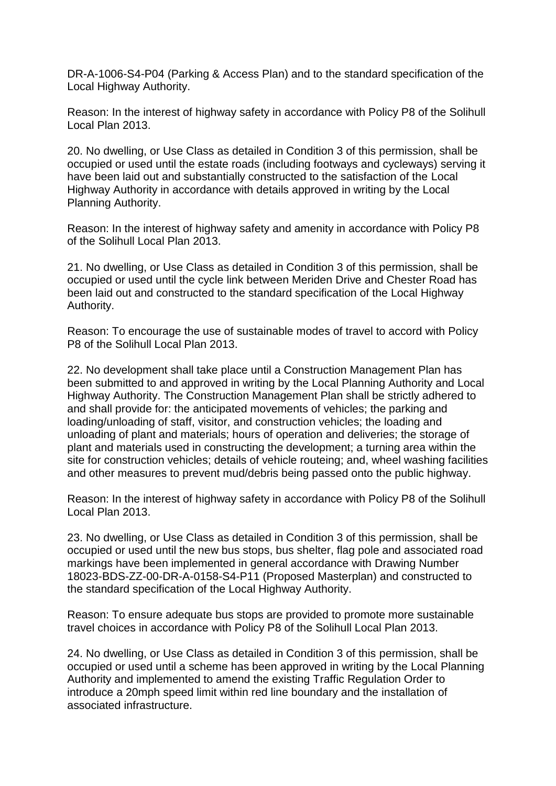DR-A-1006-S4-P04 (Parking & Access Plan) and to the standard specification of the Local Highway Authority.

Reason: In the interest of highway safety in accordance with Policy P8 of the Solihull Local Plan 2013.

20. No dwelling, or Use Class as detailed in Condition 3 of this permission, shall be occupied or used until the estate roads (including footways and cycleways) serving it have been laid out and substantially constructed to the satisfaction of the Local Highway Authority in accordance with details approved in writing by the Local Planning Authority.

Reason: In the interest of highway safety and amenity in accordance with Policy P8 of the Solihull Local Plan 2013.

21. No dwelling, or Use Class as detailed in Condition 3 of this permission, shall be occupied or used until the cycle link between Meriden Drive and Chester Road has been laid out and constructed to the standard specification of the Local Highway Authority.

Reason: To encourage the use of sustainable modes of travel to accord with Policy P8 of the Solihull Local Plan 2013.

22. No development shall take place until a Construction Management Plan has been submitted to and approved in writing by the Local Planning Authority and Local Highway Authority. The Construction Management Plan shall be strictly adhered to and shall provide for: the anticipated movements of vehicles; the parking and loading/unloading of staff, visitor, and construction vehicles; the loading and unloading of plant and materials; hours of operation and deliveries; the storage of plant and materials used in constructing the development; a turning area within the site for construction vehicles; details of vehicle routeing; and, wheel washing facilities and other measures to prevent mud/debris being passed onto the public highway.

Reason: In the interest of highway safety in accordance with Policy P8 of the Solihull Local Plan 2013.

23. No dwelling, or Use Class as detailed in Condition 3 of this permission, shall be occupied or used until the new bus stops, bus shelter, flag pole and associated road markings have been implemented in general accordance with Drawing Number 18023-BDS-ZZ-00-DR-A-0158-S4-P11 (Proposed Masterplan) and constructed to the standard specification of the Local Highway Authority.

Reason: To ensure adequate bus stops are provided to promote more sustainable travel choices in accordance with Policy P8 of the Solihull Local Plan 2013.

24. No dwelling, or Use Class as detailed in Condition 3 of this permission, shall be occupied or used until a scheme has been approved in writing by the Local Planning Authority and implemented to amend the existing Traffic Regulation Order to introduce a 20mph speed limit within red line boundary and the installation of associated infrastructure.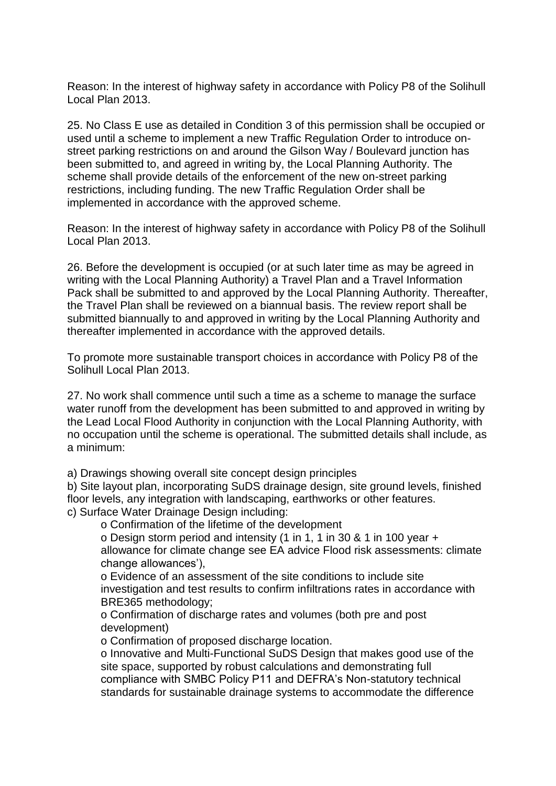Reason: In the interest of highway safety in accordance with Policy P8 of the Solihull Local Plan 2013.

25. No Class E use as detailed in Condition 3 of this permission shall be occupied or used until a scheme to implement a new Traffic Regulation Order to introduce onstreet parking restrictions on and around the Gilson Way / Boulevard junction has been submitted to, and agreed in writing by, the Local Planning Authority. The scheme shall provide details of the enforcement of the new on-street parking restrictions, including funding. The new Traffic Regulation Order shall be implemented in accordance with the approved scheme.

Reason: In the interest of highway safety in accordance with Policy P8 of the Solihull Local Plan 2013.

26. Before the development is occupied (or at such later time as may be agreed in writing with the Local Planning Authority) a Travel Plan and a Travel Information Pack shall be submitted to and approved by the Local Planning Authority. Thereafter, the Travel Plan shall be reviewed on a biannual basis. The review report shall be submitted biannually to and approved in writing by the Local Planning Authority and thereafter implemented in accordance with the approved details.

To promote more sustainable transport choices in accordance with Policy P8 of the Solihull Local Plan 2013.

27. No work shall commence until such a time as a scheme to manage the surface water runoff from the development has been submitted to and approved in writing by the Lead Local Flood Authority in conjunction with the Local Planning Authority, with no occupation until the scheme is operational. The submitted details shall include, as a minimum:

a) Drawings showing overall site concept design principles

b) Site layout plan, incorporating SuDS drainage design, site ground levels, finished floor levels, any integration with landscaping, earthworks or other features. c) Surface Water Drainage Design including:

o Confirmation of the lifetime of the development

o Design storm period and intensity (1 in 1, 1 in 30 & 1 in 100 year + allowance for climate change see EA advice Flood risk assessments: climate change allowances'),

o Evidence of an assessment of the site conditions to include site investigation and test results to confirm infiltrations rates in accordance with BRE365 methodology;

o Confirmation of discharge rates and volumes (both pre and post development)

o Confirmation of proposed discharge location.

o Innovative and Multi-Functional SuDS Design that makes good use of the site space, supported by robust calculations and demonstrating full compliance with SMBC Policy P11 and DEFRA's Non-statutory technical standards for sustainable drainage systems to accommodate the difference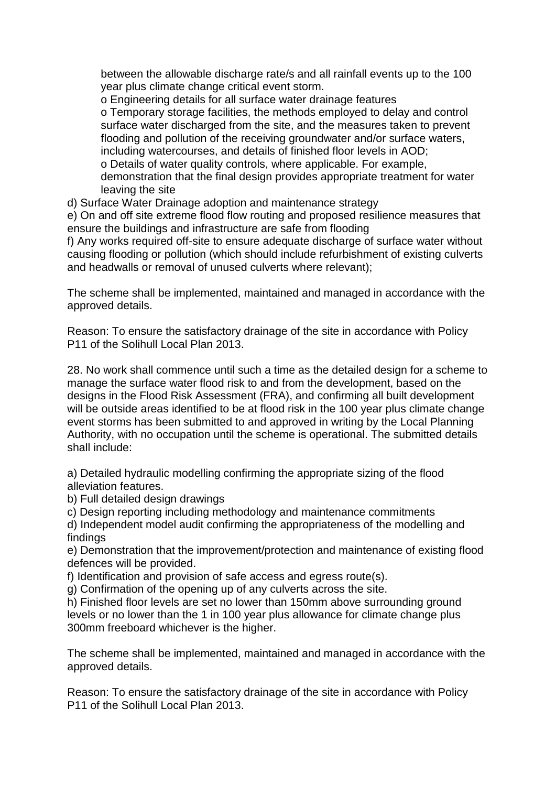between the allowable discharge rate/s and all rainfall events up to the 100 year plus climate change critical event storm.

o Engineering details for all surface water drainage features

o Temporary storage facilities, the methods employed to delay and control surface water discharged from the site, and the measures taken to prevent flooding and pollution of the receiving groundwater and/or surface waters, including watercourses, and details of finished floor levels in AOD;

o Details of water quality controls, where applicable. For example,

demonstration that the final design provides appropriate treatment for water leaving the site

d) Surface Water Drainage adoption and maintenance strategy

e) On and off site extreme flood flow routing and proposed resilience measures that ensure the buildings and infrastructure are safe from flooding

f) Any works required off-site to ensure adequate discharge of surface water without causing flooding or pollution (which should include refurbishment of existing culverts and headwalls or removal of unused culverts where relevant);

The scheme shall be implemented, maintained and managed in accordance with the approved details.

Reason: To ensure the satisfactory drainage of the site in accordance with Policy P11 of the Solihull Local Plan 2013.

28. No work shall commence until such a time as the detailed design for a scheme to manage the surface water flood risk to and from the development, based on the designs in the Flood Risk Assessment (FRA), and confirming all built development will be outside areas identified to be at flood risk in the 100 year plus climate change event storms has been submitted to and approved in writing by the Local Planning Authority, with no occupation until the scheme is operational. The submitted details shall include:

a) Detailed hydraulic modelling confirming the appropriate sizing of the flood alleviation features.

b) Full detailed design drawings

c) Design reporting including methodology and maintenance commitments

d) Independent model audit confirming the appropriateness of the modelling and findings

e) Demonstration that the improvement/protection and maintenance of existing flood defences will be provided.

f) Identification and provision of safe access and egress route(s).

g) Confirmation of the opening up of any culverts across the site.

h) Finished floor levels are set no lower than 150mm above surrounding ground levels or no lower than the 1 in 100 year plus allowance for climate change plus 300mm freeboard whichever is the higher.

The scheme shall be implemented, maintained and managed in accordance with the approved details.

Reason: To ensure the satisfactory drainage of the site in accordance with Policy P<sub>11</sub> of the Solihull Local Plan 2013.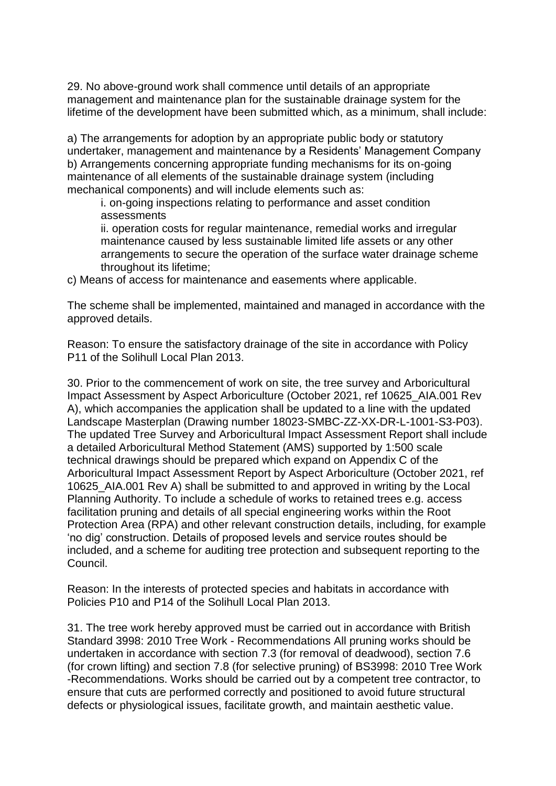29. No above-ground work shall commence until details of an appropriate management and maintenance plan for the sustainable drainage system for the lifetime of the development have been submitted which, as a minimum, shall include:

a) The arrangements for adoption by an appropriate public body or statutory undertaker, management and maintenance by a Residents' Management Company b) Arrangements concerning appropriate funding mechanisms for its on-going maintenance of all elements of the sustainable drainage system (including mechanical components) and will include elements such as:

i. on-going inspections relating to performance and asset condition assessments

ii. operation costs for regular maintenance, remedial works and irregular maintenance caused by less sustainable limited life assets or any other arrangements to secure the operation of the surface water drainage scheme throughout its lifetime;

c) Means of access for maintenance and easements where applicable.

The scheme shall be implemented, maintained and managed in accordance with the approved details.

Reason: To ensure the satisfactory drainage of the site in accordance with Policy P11 of the Solihull Local Plan 2013.

30. Prior to the commencement of work on site, the tree survey and Arboricultural Impact Assessment by Aspect Arboriculture (October 2021, ref 10625\_AIA.001 Rev A), which accompanies the application shall be updated to a line with the updated Landscape Masterplan (Drawing number 18023-SMBC-ZZ-XX-DR-L-1001-S3-P03). The updated Tree Survey and Arboricultural Impact Assessment Report shall include a detailed Arboricultural Method Statement (AMS) supported by 1:500 scale technical drawings should be prepared which expand on Appendix C of the Arboricultural Impact Assessment Report by Aspect Arboriculture (October 2021, ref 10625\_AIA.001 Rev A) shall be submitted to and approved in writing by the Local Planning Authority. To include a schedule of works to retained trees e.g. access facilitation pruning and details of all special engineering works within the Root Protection Area (RPA) and other relevant construction details, including, for example 'no dig' construction. Details of proposed levels and service routes should be included, and a scheme for auditing tree protection and subsequent reporting to the Council.

Reason: In the interests of protected species and habitats in accordance with Policies P10 and P14 of the Solihull Local Plan 2013.

31. The tree work hereby approved must be carried out in accordance with British Standard 3998: 2010 Tree Work - Recommendations All pruning works should be undertaken in accordance with section 7.3 (for removal of deadwood), section 7.6 (for crown lifting) and section 7.8 (for selective pruning) of BS3998: 2010 Tree Work -Recommendations. Works should be carried out by a competent tree contractor, to ensure that cuts are performed correctly and positioned to avoid future structural defects or physiological issues, facilitate growth, and maintain aesthetic value.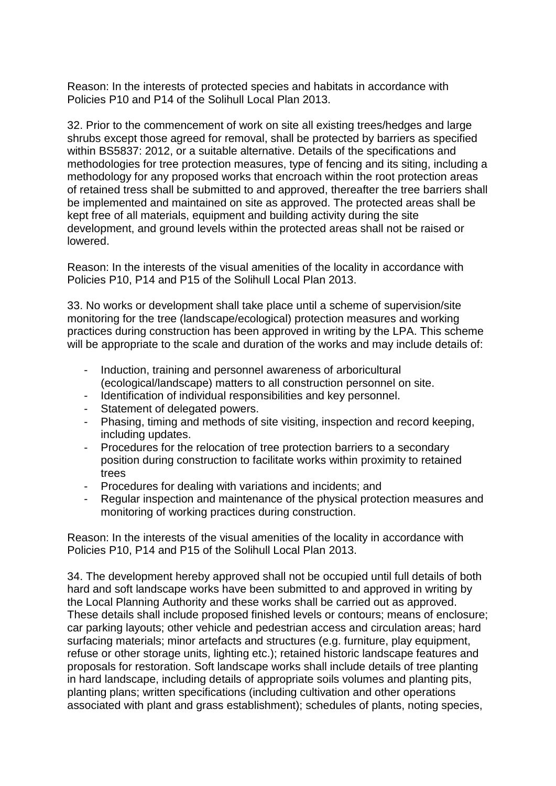Reason: In the interests of protected species and habitats in accordance with Policies P10 and P14 of the Solihull Local Plan 2013.

32. Prior to the commencement of work on site all existing trees/hedges and large shrubs except those agreed for removal, shall be protected by barriers as specified within BS5837: 2012, or a suitable alternative. Details of the specifications and methodologies for tree protection measures, type of fencing and its siting, including a methodology for any proposed works that encroach within the root protection areas of retained tress shall be submitted to and approved, thereafter the tree barriers shall be implemented and maintained on site as approved. The protected areas shall be kept free of all materials, equipment and building activity during the site development, and ground levels within the protected areas shall not be raised or lowered.

Reason: In the interests of the visual amenities of the locality in accordance with Policies P10, P14 and P15 of the Solihull Local Plan 2013.

33. No works or development shall take place until a scheme of supervision/site monitoring for the tree (landscape/ecological) protection measures and working practices during construction has been approved in writing by the LPA. This scheme will be appropriate to the scale and duration of the works and may include details of:

- Induction, training and personnel awareness of arboricultural (ecological/landscape) matters to all construction personnel on site.
- Identification of individual responsibilities and key personnel.
- Statement of delegated powers.
- Phasing, timing and methods of site visiting, inspection and record keeping, including updates.
- Procedures for the relocation of tree protection barriers to a secondary position during construction to facilitate works within proximity to retained trees
- Procedures for dealing with variations and incidents; and
- Regular inspection and maintenance of the physical protection measures and monitoring of working practices during construction.

Reason: In the interests of the visual amenities of the locality in accordance with Policies P10, P14 and P15 of the Solihull Local Plan 2013.

34. The development hereby approved shall not be occupied until full details of both hard and soft landscape works have been submitted to and approved in writing by the Local Planning Authority and these works shall be carried out as approved. These details shall include proposed finished levels or contours; means of enclosure; car parking layouts; other vehicle and pedestrian access and circulation areas; hard surfacing materials; minor artefacts and structures (e.g. furniture, play equipment, refuse or other storage units, lighting etc.); retained historic landscape features and proposals for restoration. Soft landscape works shall include details of tree planting in hard landscape, including details of appropriate soils volumes and planting pits, planting plans; written specifications (including cultivation and other operations associated with plant and grass establishment); schedules of plants, noting species,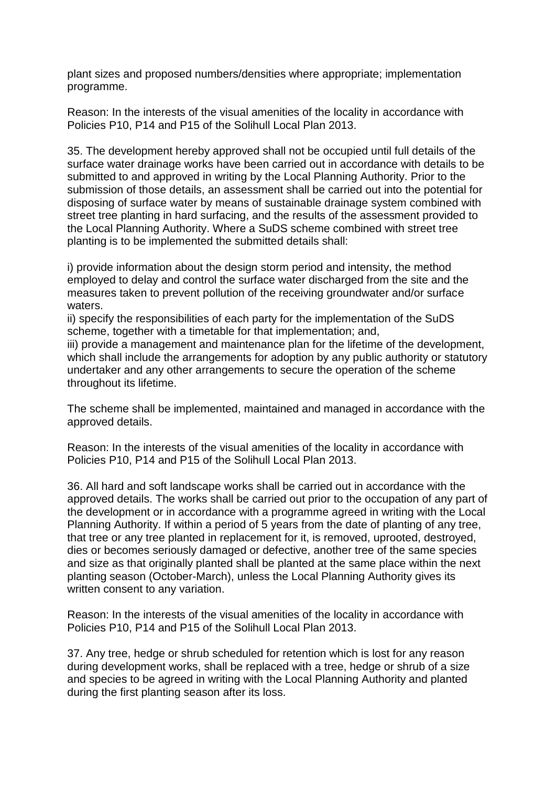plant sizes and proposed numbers/densities where appropriate; implementation programme.

Reason: In the interests of the visual amenities of the locality in accordance with Policies P10, P14 and P15 of the Solihull Local Plan 2013.

35. The development hereby approved shall not be occupied until full details of the surface water drainage works have been carried out in accordance with details to be submitted to and approved in writing by the Local Planning Authority. Prior to the submission of those details, an assessment shall be carried out into the potential for disposing of surface water by means of sustainable drainage system combined with street tree planting in hard surfacing, and the results of the assessment provided to the Local Planning Authority. Where a SuDS scheme combined with street tree planting is to be implemented the submitted details shall:

i) provide information about the design storm period and intensity, the method employed to delay and control the surface water discharged from the site and the measures taken to prevent pollution of the receiving groundwater and/or surface waters.

ii) specify the responsibilities of each party for the implementation of the SuDS scheme, together with a timetable for that implementation; and,

iii) provide a management and maintenance plan for the lifetime of the development, which shall include the arrangements for adoption by any public authority or statutory undertaker and any other arrangements to secure the operation of the scheme throughout its lifetime.

The scheme shall be implemented, maintained and managed in accordance with the approved details.

Reason: In the interests of the visual amenities of the locality in accordance with Policies P10, P14 and P15 of the Solihull Local Plan 2013.

36. All hard and soft landscape works shall be carried out in accordance with the approved details. The works shall be carried out prior to the occupation of any part of the development or in accordance with a programme agreed in writing with the Local Planning Authority. If within a period of 5 years from the date of planting of any tree, that tree or any tree planted in replacement for it, is removed, uprooted, destroyed, dies or becomes seriously damaged or defective, another tree of the same species and size as that originally planted shall be planted at the same place within the next planting season (October-March), unless the Local Planning Authority gives its written consent to any variation.

Reason: In the interests of the visual amenities of the locality in accordance with Policies P10, P14 and P15 of the Solihull Local Plan 2013.

37. Any tree, hedge or shrub scheduled for retention which is lost for any reason during development works, shall be replaced with a tree, hedge or shrub of a size and species to be agreed in writing with the Local Planning Authority and planted during the first planting season after its loss.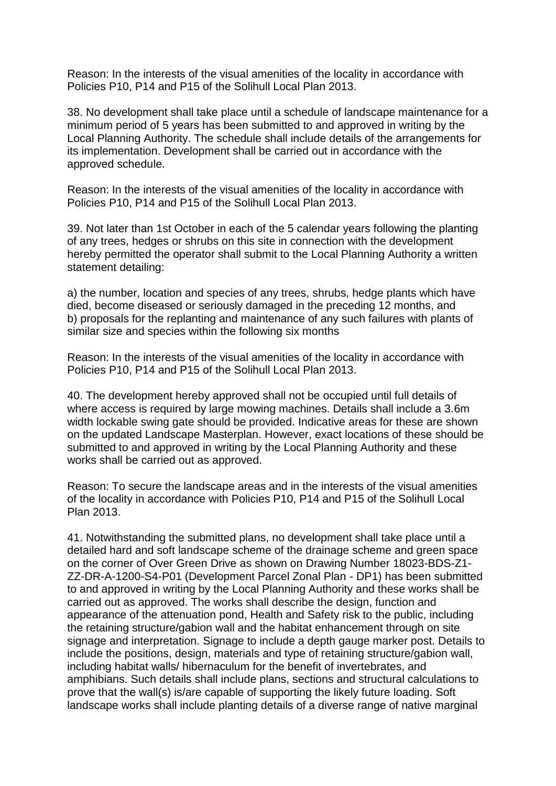Reason: In the interests of the visual amenities of the locality in accordance with Policies P10, P14 and P15 of the Solihull Local Plan 2013.

38. No development shall take place until a schedule of landscape maintenance for a minimum period of 5 years has been submitted to and approved in writing by the Local Planning Authority. The schedule shall include details of the arrangements for its implementation. Development shall be carried out in accordance with the approved schedule.

Reason: In the interests of the visual amenities of the locality in accordance with Policies P10, P14 and P15 of the Solihull Local Plan 2013.

39. Not later than 1st October in each of the 5 calendar years following the planting of any trees, hedges or shrubs on this site in connection with the development hereby permitted the operator shall submit to the Local Planning Authority a written statement detailing:

a) the number, location and species of any trees, shrubs, hedge plants which have died, become diseased or seriously damaged in the preceding 12 months, and b) proposals for the replanting and maintenance of any such failures with plants of similar size and species within the following six months

Reason: In the interests of the visual amenities of the locality in accordance with Policies P10, P14 and P15 of the Solihull Local Plan 2013.

40. The development hereby approved shall not be occupied until full details of where access is required by large mowing machines. Details shall include a 3.6m width lockable swing gate should be provided. Indicative areas for these are shown on the updated Landscape Masterplan. However, exact locations of these should be submitted to and approved in writing by the Local Planning Authority and these works shall be carried out as approved.

Reason: To secure the landscape areas and in the interests of the visual amenities of the locality in accordance with Policies P10, P14 and P15 of the Solihull Local Plan 2013.

41. Notwithstanding the submitted plans, no development shall take place until a detailed hard and soft landscape scheme of the drainage scheme and green space on the corner of Over Green Drive as shown on Drawing Number 18023-BDS-Z1- ZZ-DR-A-1200-S4-P01 (Development Parcel Zonal Plan - DP1) has been submitted to and approved in writing by the Local Planning Authority and these works shall be carried out as approved. The works shall describe the design, function and appearance of the attenuation pond, Health and Safety risk to the public, including the retaining structure/gabion wall and the habitat enhancement through on site signage and interpretation. Signage to include a depth gauge marker post. Details to include the positions, design, materials and type of retaining structure/gabion wall, including habitat walls/ hibernaculum for the benefit of invertebrates, and amphibians. Such details shall include plans, sections and structural calculations to prove that the wall(s) is/are capable of supporting the likely future loading. Soft landscape works shall include planting details of a diverse range of native marginal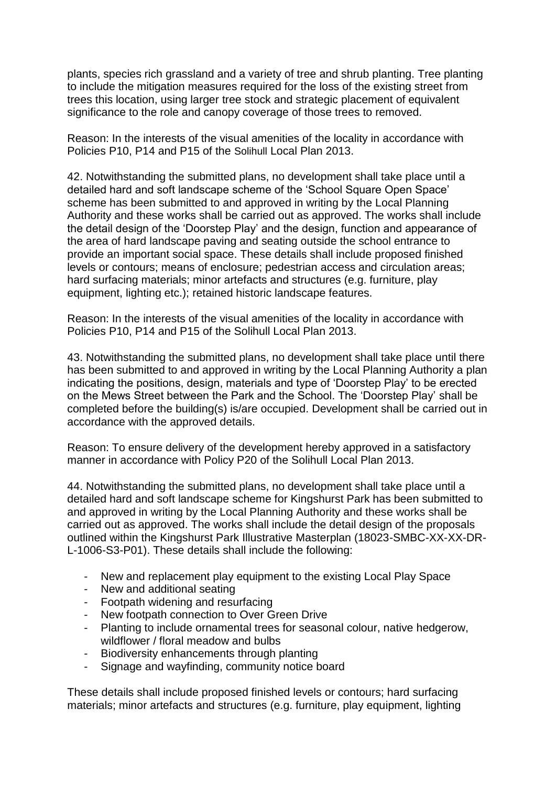plants, species rich grassland and a variety of tree and shrub planting. Tree planting to include the mitigation measures required for the loss of the existing street from trees this location, using larger tree stock and strategic placement of equivalent significance to the role and canopy coverage of those trees to removed.

Reason: In the interests of the visual amenities of the locality in accordance with Policies P10, P14 and P15 of the Solihull Local Plan 2013.

42. Notwithstanding the submitted plans, no development shall take place until a detailed hard and soft landscape scheme of the 'School Square Open Space' scheme has been submitted to and approved in writing by the Local Planning Authority and these works shall be carried out as approved. The works shall include the detail design of the 'Doorstep Play' and the design, function and appearance of the area of hard landscape paving and seating outside the school entrance to provide an important social space. These details shall include proposed finished levels or contours; means of enclosure; pedestrian access and circulation areas; hard surfacing materials; minor artefacts and structures (e.g. furniture, play equipment, lighting etc.); retained historic landscape features.

Reason: In the interests of the visual amenities of the locality in accordance with Policies P10, P14 and P15 of the Solihull Local Plan 2013.

43. Notwithstanding the submitted plans, no development shall take place until there has been submitted to and approved in writing by the Local Planning Authority a plan indicating the positions, design, materials and type of 'Doorstep Play' to be erected on the Mews Street between the Park and the School. The 'Doorstep Play' shall be completed before the building(s) is/are occupied. Development shall be carried out in accordance with the approved details.

Reason: To ensure delivery of the development hereby approved in a satisfactory manner in accordance with Policy P20 of the Solihull Local Plan 2013.

44. Notwithstanding the submitted plans, no development shall take place until a detailed hard and soft landscape scheme for Kingshurst Park has been submitted to and approved in writing by the Local Planning Authority and these works shall be carried out as approved. The works shall include the detail design of the proposals outlined within the Kingshurst Park Illustrative Masterplan (18023-SMBC-XX-XX-DR-L-1006-S3-P01). These details shall include the following:

- New and replacement play equipment to the existing Local Play Space
- New and additional seating
- Footpath widening and resurfacing
- New footpath connection to Over Green Drive
- Planting to include ornamental trees for seasonal colour, native hedgerow, wildflower / floral meadow and bulbs
- Biodiversity enhancements through planting
- Signage and wayfinding, community notice board

These details shall include proposed finished levels or contours; hard surfacing materials; minor artefacts and structures (e.g. furniture, play equipment, lighting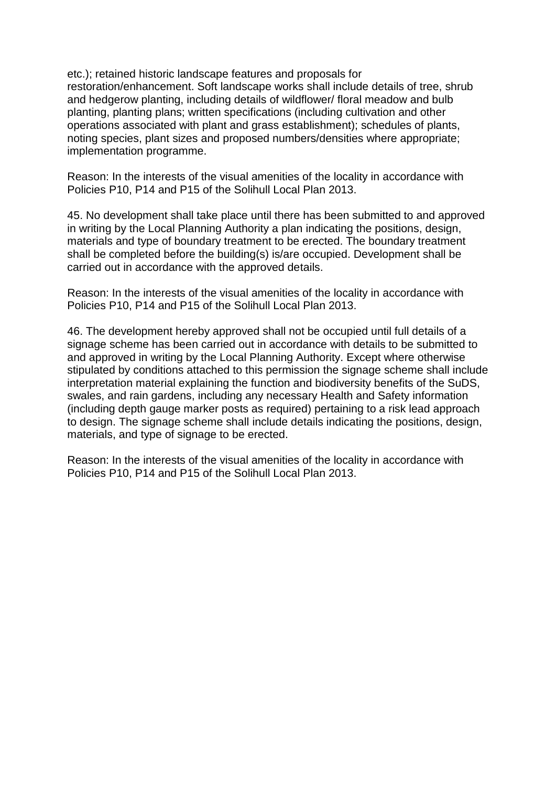etc.); retained historic landscape features and proposals for restoration/enhancement. Soft landscape works shall include details of tree, shrub and hedgerow planting, including details of wildflower/ floral meadow and bulb planting, planting plans; written specifications (including cultivation and other operations associated with plant and grass establishment); schedules of plants, noting species, plant sizes and proposed numbers/densities where appropriate; implementation programme.

Reason: In the interests of the visual amenities of the locality in accordance with Policies P10, P14 and P15 of the Solihull Local Plan 2013.

45. No development shall take place until there has been submitted to and approved in writing by the Local Planning Authority a plan indicating the positions, design, materials and type of boundary treatment to be erected. The boundary treatment shall be completed before the building(s) is/are occupied. Development shall be carried out in accordance with the approved details.

Reason: In the interests of the visual amenities of the locality in accordance with Policies P10, P14 and P15 of the Solihull Local Plan 2013.

46. The development hereby approved shall not be occupied until full details of a signage scheme has been carried out in accordance with details to be submitted to and approved in writing by the Local Planning Authority. Except where otherwise stipulated by conditions attached to this permission the signage scheme shall include interpretation material explaining the function and biodiversity benefits of the SuDS, swales, and rain gardens, including any necessary Health and Safety information (including depth gauge marker posts as required) pertaining to a risk lead approach to design. The signage scheme shall include details indicating the positions, design, materials, and type of signage to be erected.

Reason: In the interests of the visual amenities of the locality in accordance with Policies P10, P14 and P15 of the Solihull Local Plan 2013.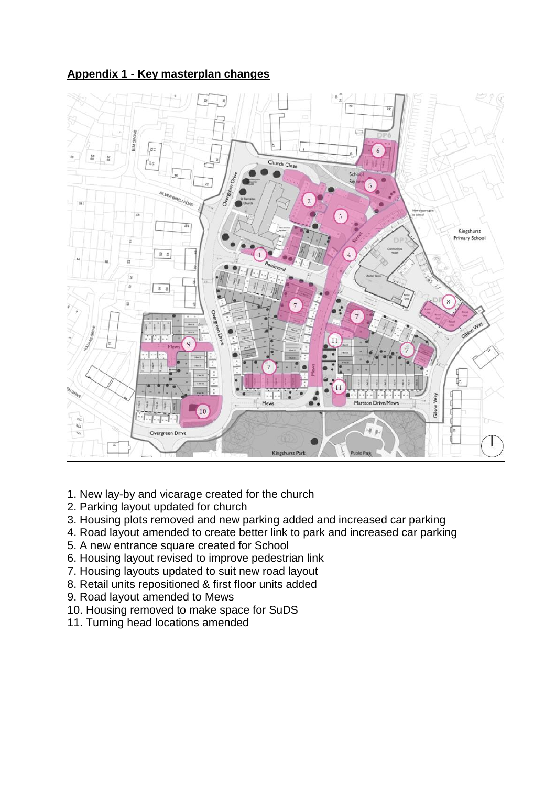# **Appendix 1 - Key masterplan changes**



- 1. New lay-by and vicarage created for the church
- 2. Parking layout updated for church
- 3. Housing plots removed and new parking added and increased car parking
- 4. Road layout amended to create better link to park and increased car parking
- 5. A new entrance square created for School
- 6. Housing layout revised to improve pedestrian link
- 7. Housing layouts updated to suit new road layout
- 8. Retail units repositioned & first floor units added
- 9. Road layout amended to Mews
- 10. Housing removed to make space for SuDS
- 11. Turning head locations amended